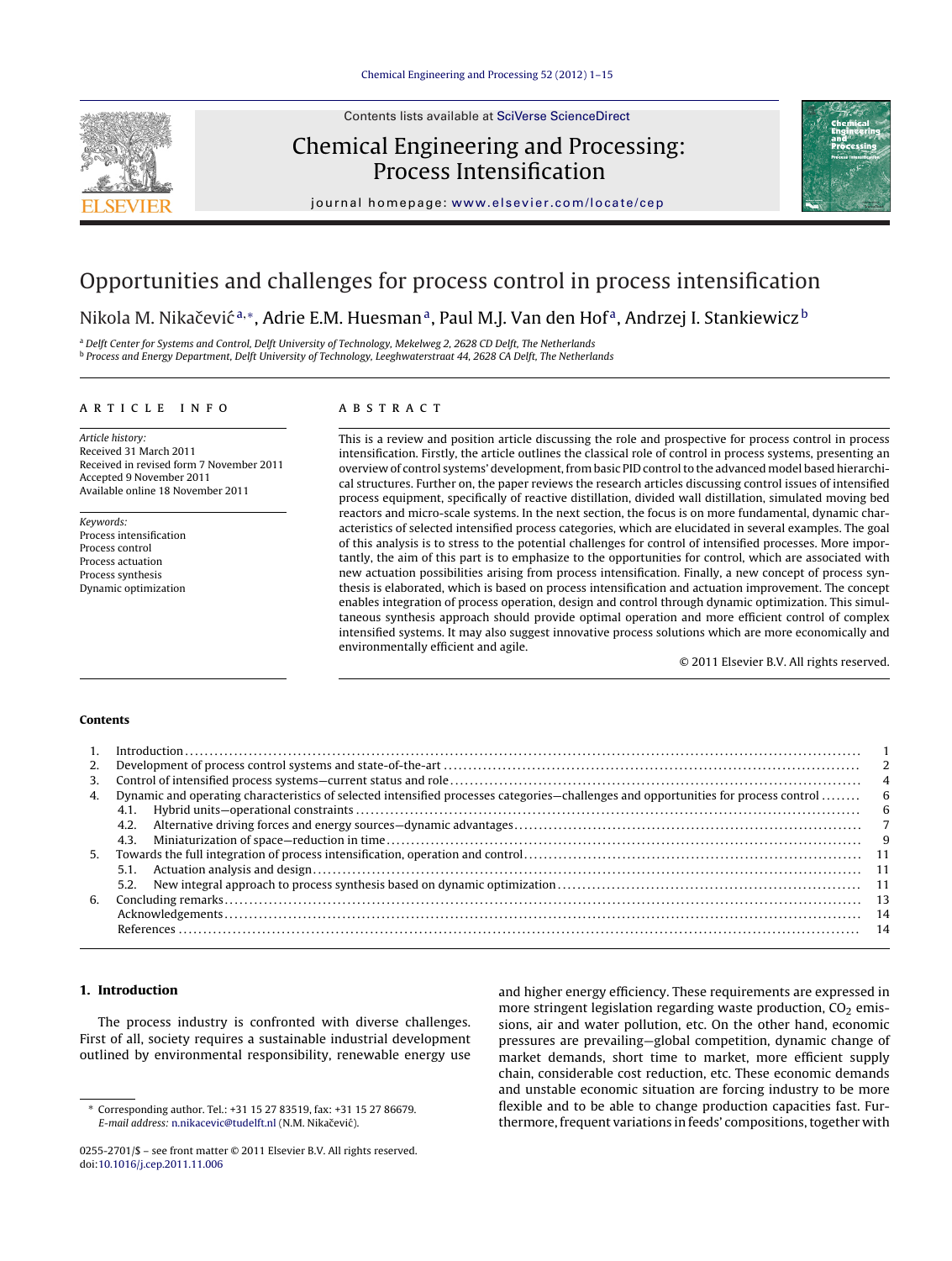

Contents lists available at SciVerse [ScienceDirect](http://www.sciencedirect.com/science/journal/02552701)

# Chemical Engineering and Processing: Process Intensification



iournal homepage: [www.elsevier.com/locate/cep](http://www.elsevier.com/locate/cep)

## Opportunities and challenges for process control in process intensification

Nikola M. Nikačević<sup>a,</sup>\*, Adrie E.M. Huesman<sup>a</sup>, Paul M.J. Van den Hof<sup>a</sup>, Andrzej I. Stankiewicz b

<sup>a</sup> Delft Center for Systems and Control, Delft University of Technology, Mekelweg 2, 2628 CD Delft, The Netherlands **b Process and Energy Department, Delft University of Technology, Leeghwaterstraat 44, 2628 CA Delft, The Netherlands** 

#### a r t i c l e i n f o

Article history: Received 31 March 2011 Received in revised form 7 November 2011 Accepted 9 November 2011 Available online 18 November 2011

Keywords: Process intensification Process control Process actuation Process synthesis Dynamic optimization

## A B S T R A C T

This is a review and position article discussing the role and prospective for process control in process intensification. Firstly, the article outlines the classical role of control in process systems, presenting an overview of control systems' development, from basic PID control to the advanced model based hierarchical structures. Further on, the paper reviews the research articles discussing control issues of intensified process equipment, specifically of reactive distillation, divided wall distillation, simulated moving bed reactors and micro-scale systems. In the next section, the focus is on more fundamental, dynamic characteristics of selected intensified process categories, which are elucidated in several examples. The goal of this analysis is to stress to the potential challenges for control of intensified processes. More importantly, the aim of this part is to emphasize to the opportunities for control, which are associated with new actuation possibilities arising from process intensification. Finally, a new concept of process synthesis is elaborated, which is based on process intensification and actuation improvement. The concept enables integration of process operation, design and control through dynamic optimization. This simultaneous synthesis approach should provide optimal operation and more efficient control of complex intensified systems. It may also suggest innovative process solutions which are more economically and environmentally efficient and agile.

© 2011 Elsevier B.V. All rights reserved.

#### **Contents**

| 2. |                                                                                                                                     | $\mathcal{L}$ |
|----|-------------------------------------------------------------------------------------------------------------------------------------|---------------|
| 3. |                                                                                                                                     | 4             |
| 4. | Dynamic and operating characteristics of selected intensified processes categories-challenges and opportunities for process control | 6             |
|    | 4.1.                                                                                                                                | 6             |
|    | 4.2.                                                                                                                                |               |
|    | 4.3.                                                                                                                                |               |
| 5. |                                                                                                                                     |               |
|    | 5.1.                                                                                                                                |               |
|    | 5.2.                                                                                                                                |               |
| 6. |                                                                                                                                     |               |
|    |                                                                                                                                     |               |
|    |                                                                                                                                     | 14            |
|    |                                                                                                                                     |               |

### **1. Introduction**

The process industry is confronted with diverse challenges. First of all, society requires a sustainable industrial development outlined by environmental responsibility, renewable energy use

and higher energy efficiency. These requirements are expressed in more stringent legislation regarding waste production,  $CO<sub>2</sub>$  emissions, air and water pollution, etc. On the other hand, economic pressures are prevailing—global competition, dynamic change of market demands, short time to market, more efficient supply chain, considerable cost reduction, etc. These economic demands and unstable economic situation are forcing industry to be more flexible and to be able to change production capacities fast. Furthermore, frequent variations in feeds' compositions, together with

<sup>∗</sup> Corresponding author. Tel.: +31 15 27 83519, fax: +31 15 27 86679. E-mail address: [n.nikacevic@tudelft.nl](mailto:n.nikacevic@tudelft.nl) (N.M. Nikačević).

<sup>0255-2701/\$</sup> – see front matter © 2011 Elsevier B.V. All rights reserved. doi:[10.1016/j.cep.2011.11.006](dx.doi.org/10.1016/j.cep.2011.11.006)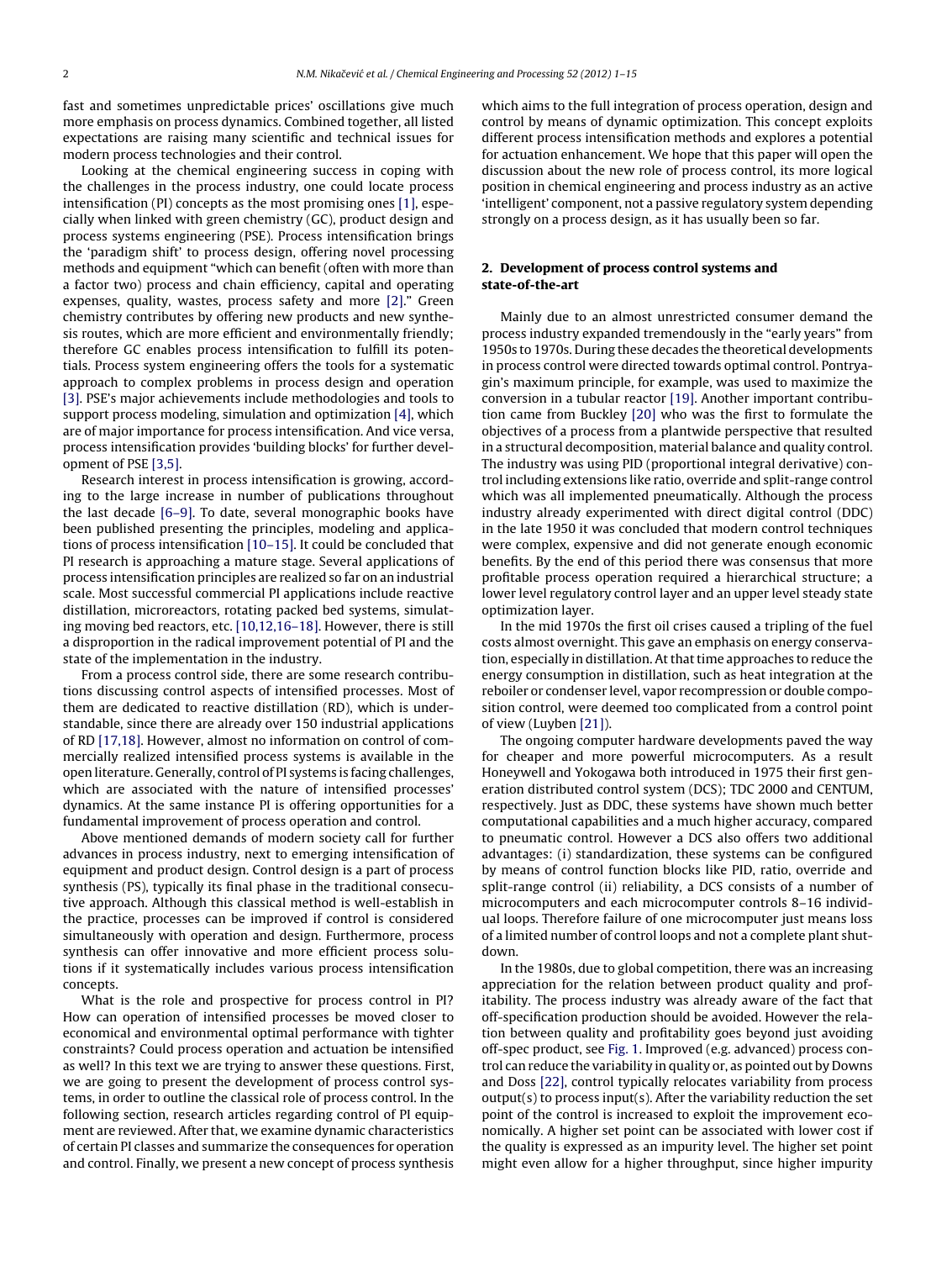<span id="page-1-0"></span>fast and sometimes unpredictable prices' oscillations give much more emphasis on process dynamics. Combined together, all listed expectations are raising many scientific and technical issues for modern process technologies and their control.

Looking at the chemical engineering success in coping with the challenges in the process industry, one could locate process intensification (PI) concepts as the most promising ones [\[1\],](#page-13-0) especially when linked with green chemistry (GC), product design and process systems engineering (PSE). Process intensification brings the 'paradigm shift' to process design, offering novel processing methods and equipment "which can benefit (often with more than a factor two) process and chain efficiency, capital and operating expenses, quality, wastes, process safety and more [\[2\]."](#page-13-0) Green chemistry contributes by offering new products and new synthesis routes, which are more efficient and environmentally friendly; therefore GC enables process intensification to fulfill its potentials. Process system engineering offers the tools for a systematic approach to complex problems in process design and operation [\[3\].](#page-13-0) PSE's major achievements include methodologies and tools to support process modeling, simulation and optimization [\[4\],](#page-13-0) which are of major importance for process intensification. And vice versa, process intensification provides 'building blocks' for further development of PSE [\[3,5\].](#page-13-0)

Research interest in process intensification is growing, according to the large increase in number of publications throughout the last decade [\[6–9\].](#page-13-0) To date, several monographic books have been published presenting the principles, modeling and applications of process intensification [\[10–15\].](#page-13-0) It could be concluded that PI research is approaching a mature stage. Several applications of process intensification principles are realized so far on an industrial scale. Most successful commercial PI applications include reactive distillation, microreactors, rotating packed bed systems, simulating moving bed reactors, etc. [\[10,12,16–18\].](#page-13-0) However, there is still a disproportion in the radical improvement potential of PI and the state of the implementation in the industry.

From a process control side, there are some research contributions discussing control aspects of intensified processes. Most of them are dedicated to reactive distillation (RD), which is understandable, since there are already over 150 industrial applications of RD [\[17,18\].](#page-13-0) However, almost no information on control of commercially realized intensified process systems is available in the open literature. Generally, control of PI systems is facing challenges, which are associated with the nature of intensified processes' dynamics. At the same instance PI is offering opportunities for a fundamental improvement of process operation and control.

Above mentioned demands of modern society call for further advances in process industry, next to emerging intensification of equipment and product design. Control design is a part of process synthesis (PS), typically its final phase in the traditional consecutive approach. Although this classical method is well-establish in the practice, processes can be improved if control is considered simultaneously with operation and design. Furthermore, process synthesis can offer innovative and more efficient process solutions if it systematically includes various process intensification concepts.

What is the role and prospective for process control in PI? How can operation of intensified processes be moved closer to economical and environmental optimal performance with tighter constraints? Could process operation and actuation be intensified as well? In this text we are trying to answer these questions. First, we are going to present the development of process control systems, in order to outline the classical role of process control. In the following section, research articles regarding control of PI equipment are reviewed. After that, we examine dynamic characteristics of certain PI classes and summarize the consequences for operation and control. Finally, we present a new concept of process synthesis

which aims to the full integration of process operation, design and control by means of dynamic optimization. This concept exploits different process intensification methods and explores a potential for actuation enhancement. We hope that this paper will open the discussion about the new role of process control, its more logical position in chemical engineering and process industry as an active 'intelligent' component, not a passive regulatory system depending strongly on a process design, as it has usually been so far.

## **2. Development of process control systems and state-of-the-art**

Mainly due to an almost unrestricted consumer demand the process industry expanded tremendously in the "early years" from 1950s to 1970s. During these decades the theoretical developments in process control were directed towards optimal control. Pontryagin's maximum principle, for example, was used to maximize the conversion in a tubular reactor [\[19\].](#page-13-0) Another important contribution came from Buckley [\[20\]](#page-13-0) who was the first to formulate the objectives of a process from a plantwide perspective that resulted in a structural decomposition, material balance and quality control. The industry was using PID (proportional integral derivative) control including extensions like ratio, override and split-range control which was all implemented pneumatically. Although the process industry already experimented with direct digital control (DDC) in the late 1950 it was concluded that modern control techniques were complex, expensive and did not generate enough economic benefits. By the end of this period there was consensus that more profitable process operation required a hierarchical structure; a lower level regulatory control layer and an upper level steady state optimization layer.

In the mid 1970s the first oil crises caused a tripling of the fuel costs almost overnight. This gave an emphasis on energy conservation, especially in distillation. At that time approaches to reduce the energy consumption in distillation, such as heat integration at the reboiler or condenser level, vapor recompression or double composition control, were deemed too complicated from a control point of view (Luyben [\[21\]\).](#page-13-0)

The ongoing computer hardware developments paved the way for cheaper and more powerful microcomputers. As a result Honeywell and Yokogawa both introduced in 1975 their first generation distributed control system (DCS); TDC 2000 and CENTUM, respectively. Just as DDC, these systems have shown much better computational capabilities and a much higher accuracy, compared to pneumatic control. However a DCS also offers two additional advantages: (i) standardization, these systems can be configured by means of control function blocks like PID, ratio, override and split-range control (ii) reliability, a DCS consists of a number of microcomputers and each microcomputer controls 8–16 individual loops. Therefore failure of one microcomputer just means loss of a limited number of control loops and not a complete plant shutdown.

In the 1980s, due to global competition, there was an increasing appreciation for the relation between product quality and profitability. The process industry was already aware of the fact that off-specification production should be avoided. However the relation between quality and profitability goes beyond just avoiding off-spec product, see [Fig.](#page-2-0) 1. Improved (e.g. advanced) process control can reduce the variability in quality or, as pointed out by Downs and Doss [\[22\],](#page-13-0) control typically relocates variability from process output(s) to process input(s). After the variability reduction the set point of the control is increased to exploit the improvement economically. A higher set point can be associated with lower cost if the quality is expressed as an impurity level. The higher set point might even allow for a higher throughput, since higher impurity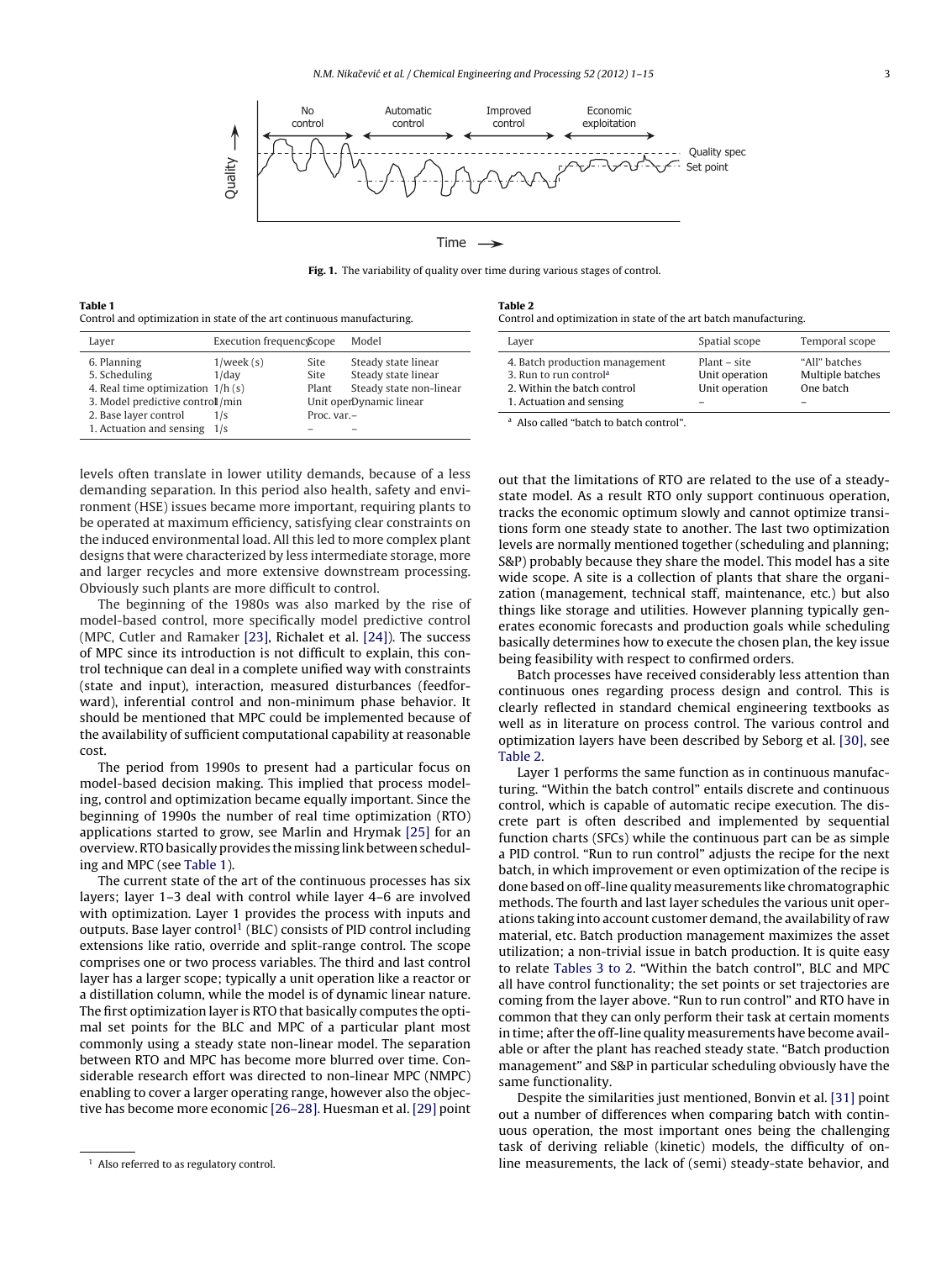<span id="page-2-0"></span>

**Fig. 1.** The variability of quality over time during various stages of control.

| Table 1                                                                |  |
|------------------------------------------------------------------------|--|
| Control and optimization in state of the art continuous manufacturing. |  |

| Layer                              | Execution frequenc Scope |              | Model                   |
|------------------------------------|--------------------------|--------------|-------------------------|
| 6. Planning                        | $1$ /week $(s)$          | Site         | Steady state linear     |
| 5. Scheduling                      | $1$ /dav                 | <b>Site</b>  | Steady state linear     |
| 4. Real time optimization $1/h(s)$ |                          | Plant        | Steady state non-linear |
| 3. Model predictive controll/min   |                          |              | Unit operDynamic linear |
| 2. Base layer control              | 1/s                      | Proc. $var.$ |                         |
| 1. Actuation and sensing $1/s$     |                          |              |                         |

levels often translate in lower utility demands, because of a less demanding separation. In this period also health, safety and environment (HSE) issues became more important, requiring plants to be operated at maximum efficiency, satisfying clear constraints on the induced environmental load. All this led to more complex plant designs that were characterized by less intermediate storage, more and larger recycles and more extensive downstream processing. Obviously such plants are more difficult to control.

The beginning of the 1980s was also marked by the rise of model-based control, more specifically model predictive control (MPC, Cutler and Ramaker [\[23\],](#page-13-0) Richalet et al. [\[24\]\).](#page-13-0) The success of MPC since its introduction is not difficult to explain, this control technique can deal in a complete unified way with constraints (state and input), interaction, measured disturbances (feedforward), inferential control and non-minimum phase behavior. It should be mentioned that MPC could be implemented because of the availability of sufficient computational capability at reasonable cost.

The period from 1990s to present had a particular focus on model-based decision making. This implied that process modeling, control and optimization became equally important. Since the beginning of 1990s the number of real time optimization (RTO) applications started to grow, see Marlin and Hrymak [\[25\]](#page-13-0) for an overview. RTO basically provides the missing link between scheduling and MPC (see Table 1).

The current state of the art of the continuous processes has six layers; layer 1–3 deal with control while layer 4–6 are involved with optimization. Layer 1 provides the process with inputs and outputs. Base layer control<sup>1</sup> (BLC) consists of PID control including extensions like ratio, override and split-range control. The scope comprises one or two process variables. The third and last control layer has a larger scope; typically a unit operation like a reactor or a distillation column, while the model is of dynamic linear nature. The first optimization layer is RTO that basically computes the optimal set points for the BLC and MPC of a particular plant most commonly using a steady state non-linear model. The separation between RTO and MPC has become more blurred over time. Considerable research effort was directed to non-linear MPC (NMPC) enabling to cover a larger operating range, however also the objective has become more economic [\[26–28\].](#page-13-0) Huesman et al. [\[29\]](#page-13-0) point

| Table |  |
|-------|--|
|-------|--|

Control and optimization in state of the art batch manufacturing.

| Layer                                                                                                                           | Spatial scope                                    | Temporal scope                                 |
|---------------------------------------------------------------------------------------------------------------------------------|--------------------------------------------------|------------------------------------------------|
| 4. Batch production management<br>3. Run to run control <sup>a</sup><br>2. Within the batch control<br>1. Actuation and sensing | Plant – site<br>Unit operation<br>Unit operation | "All" batches<br>Multiple batches<br>One batch |

<sup>a</sup> Also called "batch to batch control".

out that the limitations of RTO are related to the use of a steadystate model. As a result RTO only support continuous operation, tracks the economic optimum slowly and cannot optimize transitions form one steady state to another. The last two optimization levels are normally mentioned together (scheduling and planning; S&P) probably because they share the model. This model has a site wide scope. A site is a collection of plants that share the organization (management, technical staff, maintenance, etc.) but also things like storage and utilities. However planning typically generates economic forecasts and production goals while scheduling basically determines how to execute the chosen plan, the key issue being feasibility with respect to confirmed orders.

Batch processes have received considerably less attention than continuous ones regarding process design and control. This is clearly reflected in standard chemical engineering textbooks as well as in literature on process control. The various control and optimization layers have been described by Seborg et al. [\[30\],](#page-13-0) see Table 2.

Layer 1 performs the same function as in continuous manufacturing. "Within the batch control" entails discrete and continuous control, which is capable of automatic recipe execution. The discrete part is often described and implemented by sequential function charts (SFCs) while the continuous part can be as simple a PID control. "Run to run control" adjusts the recipe for the next batch, in which improvement or even optimization of the recipe is done based on off-line quality measurements like chromatographic methods. The fourth and last layer schedules the various unit operations taking into account customer demand, the availability of raw material, etc. Batch production management maximizes the asset utilization; a non-trivial issue in batch production. It is quite easy to relate Tables 3 to 2. "Within the batch control", BLC and MPC all have control functionality; the set points or set trajectories are coming from the layer above. "Run to run control" and RTO have in common that they can only perform their task at certain moments in time; after the off-line quality measurements have become available or after the plant has reached steady state. "Batch production management" and S&P in particular scheduling obviously have the same functionality.

Despite the similarities just mentioned, Bonvin et al. [\[31\]](#page-13-0) point out a number of differences when comparing batch with continuous operation, the most important ones being the challenging task of deriving reliable (kinetic) models, the difficulty of online measurements, the lack of (semi) steady-state behavior, and

<sup>1</sup> Also referred to as regulatory control.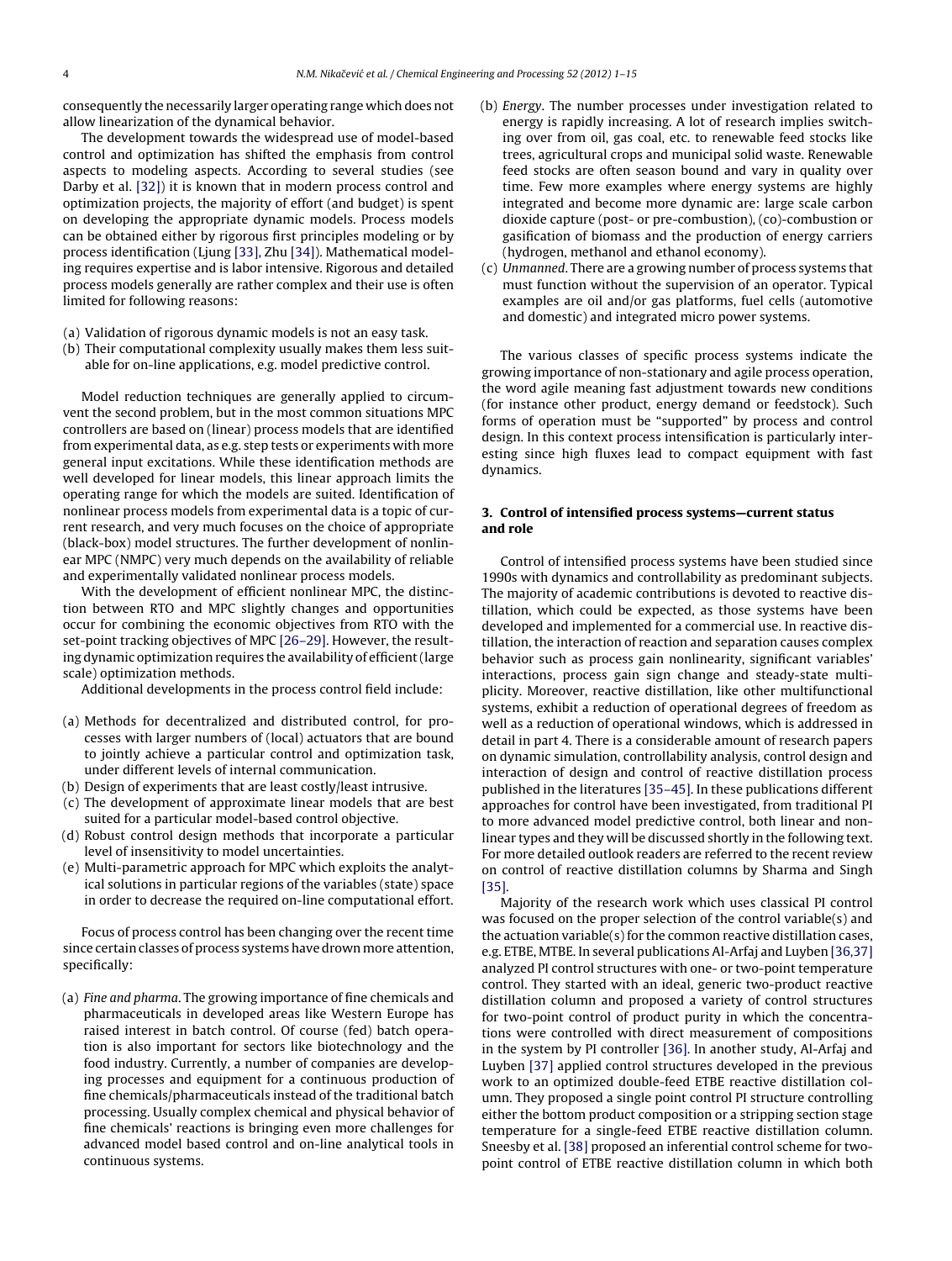consequently the necessarily larger operating range which does not allow linearization of the dynamical behavior.

The development towards the widespread use of model-based control and optimization has shifted the emphasis from control aspects to modeling aspects. According to several studies (see Darby et al. [\[32\]\)](#page-13-0) it is known that in modern process control and optimization projects, the majority of effort (and budget) is spent on developing the appropriate dynamic models. Process models can be obtained either by rigorous first principles modeling or by process identification (Ljung [\[33\],](#page-13-0) Zhu [\[34\]\).](#page-13-0) Mathematical modeling requires expertise and is labor intensive. Rigorous and detailed process models generally are rather complex and their use is often limited for following reasons:

- (a) Validation of rigorous dynamic models is not an easy task.
- (b) Their computational complexity usually makes them less suitable for on-line applications, e.g. model predictive control.

Model reduction techniques are generally applied to circumvent the second problem, but in the most common situations MPC controllers are based on (linear) process models that are identified from experimental data, as e.g. step tests or experiments with more general input excitations. While these identification methods are well developed for linear models, this linear approach limits the operating range for which the models are suited. Identification of nonlinear process models from experimental data is a topic of current research, and very much focuses on the choice of appropriate (black-box) model structures. The further development of nonlinear MPC (NMPC) very much depends on the availability of reliable and experimentally validated nonlinear process models.

With the development of efficient nonlinear MPC, the distinction between RTO and MPC slightly changes and opportunities occur for combining the economic objectives from RTO with the set-point tracking objectives of MPC [\[26–29\].](#page-13-0) However, the resulting dynamic optimization requires the availability of efficient(large scale) optimization methods.

Additional developments in the process control field include:

- (a) Methods for decentralized and distributed control, for processes with larger numbers of (local) actuators that are bound to jointly achieve a particular control and optimization task, under different levels of internal communication.
- (b) Design of experiments that are least costly/least intrusive.
- (c) The development of approximate linear models that are best suited for a particular model-based control objective.
- (d) Robust control design methods that incorporate a particular level of insensitivity to model uncertainties.
- (e) Multi-parametric approach for MPC which exploits the analytical solutions in particular regions of the variables (state) space in order to decrease the required on-line computational effort.

Focus of process control has been changing over the recent time since certain classes of process systems have drown more attention, specifically:

(a) Fine and pharma. The growing importance of fine chemicals and pharmaceuticals in developed areas like Western Europe has raised interest in batch control. Of course (fed) batch operation is also important for sectors like biotechnology and the food industry. Currently, a number of companies are developing processes and equipment for a continuous production of fine chemicals/pharmaceuticals instead of the traditional batch processing. Usually complex chemical and physical behavior of fine chemicals' reactions is bringing even more challenges for advanced model based control and on-line analytical tools in continuous systems.

- (b) Energy. The number processes under investigation related to energy is rapidly increasing. A lot of research implies switching over from oil, gas coal, etc. to renewable feed stocks like trees, agricultural crops and municipal solid waste. Renewable feed stocks are often season bound and vary in quality over time. Few more examples where energy systems are highly integrated and become more dynamic are: large scale carbon dioxide capture (post- or pre-combustion), (co)-combustion or gasification of biomass and the production of energy carriers (hydrogen, methanol and ethanol economy).
- (c) Unmanned. There are a growing number of process systems that must function without the supervision of an operator. Typical examples are oil and/or gas platforms, fuel cells (automotive and domestic) and integrated micro power systems.

The various classes of specific process systems indicate the growing importance of non-stationary and agile process operation, the word agile meaning fast adjustment towards new conditions (for instance other product, energy demand or feedstock). Such forms of operation must be "supported" by process and control design. In this context process intensification is particularly interesting since high fluxes lead to compact equipment with fast dynamics.

#### **3. Control of intensified process systems—current status and role**

Control of intensified process systems have been studied since 1990s with dynamics and controllability as predominant subjects. The majority of academic contributions is devoted to reactive distillation, which could be expected, as those systems have been developed and implemented for a commercial use. In reactive distillation, the interaction of reaction and separation causes complex behavior such as process gain nonlinearity, significant variables' interactions, process gain sign change and steady-state multiplicity. Moreover, reactive distillation, like other multifunctional systems, exhibit a reduction of operational degrees of freedom as well as a reduction of operational windows, which is addressed in detail in part 4. There is a considerable amount of research papers on dynamic simulation, controllability analysis, control design and interaction of design and control of reactive distillation process published in the literatures [\[35–45\].](#page-13-0) In these publications different approaches for control have been investigated, from traditional PI to more advanced model predictive control, both linear and nonlinear types and they will be discussed shortly in the following text. For more detailed outlook readers are referred to the recent review on control of reactive distillation columns by Sharma and Singh [\[35\].](#page-13-0)

Majority of the research work which uses classical PI control was focused on the proper selection of the control variable(s) and the actuation variable $(s)$  for the common reactive distillation cases, e.g. ETBE, MTBE. In several publications Al-Arfaj and Luyben [\[36,37\]](#page-13-0) analyzed PI control structures with one- or two-point temperature control. They started with an ideal, generic two-product reactive distillation column and proposed a variety of control structures for two-point control of product purity in which the concentrations were controlled with direct measurement of compositions in the system by PI controller [\[36\].](#page-13-0) In another study, Al-Arfaj and Luyben [\[37\]](#page-13-0) applied control structures developed in the previous work to an optimized double-feed ETBE reactive distillation column. They proposed a single point control PI structure controlling either the bottom product composition or a stripping section stage temperature for a single-feed ETBE reactive distillation column. Sneesby et al. [\[38\]](#page-13-0) proposed an inferential control scheme for twopoint control of ETBE reactive distillation column in which both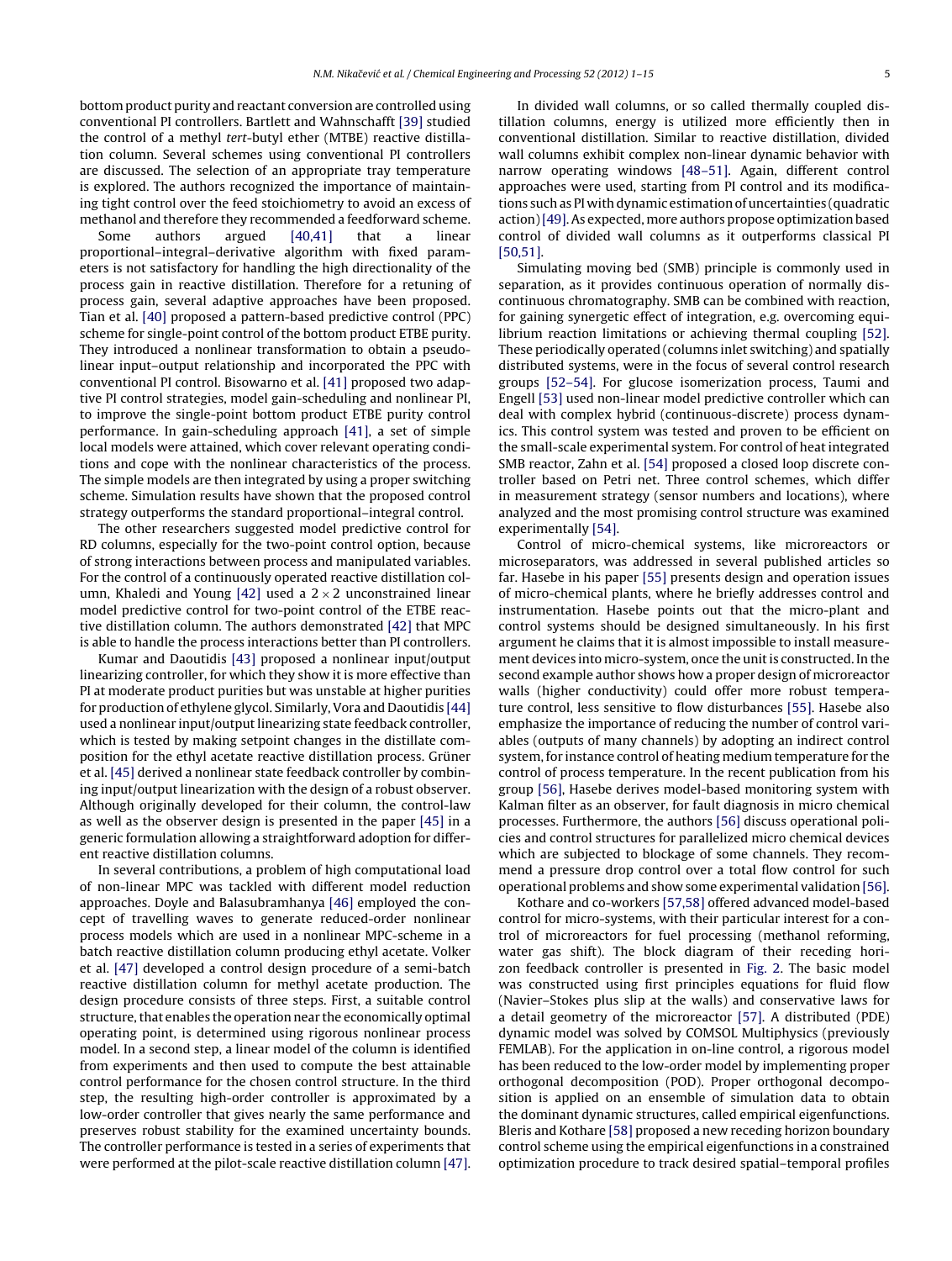bottom product purity and reactant conversion are controlled using conventional PI controllers. Bartlett and Wahnschafft [\[39\]](#page-13-0) studied the control of a methyl tert-butyl ether (MTBE) reactive distillation column. Several schemes using conventional PI controllers are discussed. The selection of an appropriate tray temperature is explored. The authors recognized the importance of maintaining tight control over the feed stoichiometry to avoid an excess of methanol and therefore they recommended a feedforward scheme.

Some authors argued [\[40,41\]](#page-13-0) that a linear proportional–integral–derivative algorithm with fixed parameters is not satisfactory for handling the high directionality of the process gain in reactive distillation. Therefore for a retuning of process gain, several adaptive approaches have been proposed. Tian et al. [\[40\]](#page-13-0) proposed a pattern-based predictive control (PPC) scheme for single-point control of the bottom product ETBE purity. They introduced a nonlinear transformation to obtain a pseudolinear input–output relationship and incorporated the PPC with conventional PI control. Bisowarno et al. [\[41\]](#page-13-0) proposed two adaptive PI control strategies, model gain-scheduling and nonlinear PI, to improve the single-point bottom product ETBE purity control performance. In gain-scheduling approach [\[41\],](#page-13-0) a set of simple local models were attained, which cover relevant operating conditions and cope with the nonlinear characteristics of the process. The simple models are then integrated by using a proper switching scheme. Simulation results have shown that the proposed control strategy outperforms the standard proportional–integral control.

The other researchers suggested model predictive control for RD columns, especially for the two-point control option, because of strong interactions between process and manipulated variables. For the control of a continuously operated reactive distillation col-umn, Khaledi and Young [\[42\]](#page-13-0) used a  $2 \times 2$  unconstrained linear model predictive control for two-point control of the ETBE reactive distillation column. The authors demonstrated [\[42\]](#page-13-0) that MPC is able to handle the process interactions better than PI controllers.

Kumar and Daoutidis [\[43\]](#page-13-0) proposed a nonlinear input/output linearizing controller, for which they show it is more effective than PI at moderate product purities but was unstable at higher purities for production of ethylene glycol. Similarly, Vora and Daoutidis [\[44\]](#page-13-0) used a nonlinear input/output linearizing state feedback controller, which is tested by making setpoint changes in the distillate composition for the ethyl acetate reactive distillation process. Grüner et al. [\[45\]](#page-13-0) derived a nonlinear state feedback controller by combining input/output linearization with the design of a robust observer. Although originally developed for their column, the control-law as well as the observer design is presented in the paper [\[45\]](#page-13-0) in a generic formulation allowing a straightforward adoption for different reactive distillation columns.

In several contributions, a problem of high computational load of non-linear MPC was tackled with different model reduction approaches. Doyle and Balasubramhanya [\[46\]](#page-13-0) employed the concept of travelling waves to generate reduced-order nonlinear process models which are used in a nonlinear MPC-scheme in a batch reactive distillation column producing ethyl acetate. Volker et al. [\[47\]](#page-13-0) developed a control design procedure of a semi-batch reactive distillation column for methyl acetate production. The design procedure consists of three steps. First, a suitable control structure, that enables the operation near the economically optimal operating point, is determined using rigorous nonlinear process model. In a second step, a linear model of the column is identified from experiments and then used to compute the best attainable control performance for the chosen control structure. In the third step, the resulting high-order controller is approximated by a low-order controller that gives nearly the same performance and preserves robust stability for the examined uncertainty bounds. The controller performance is tested in a series of experiments that were performed at the pilot-scale reactive distillation column [\[47\].](#page-13-0)

In divided wall columns, or so called thermally coupled distillation columns, energy is utilized more efficiently then in conventional distillation. Similar to reactive distillation, divided wall columns exhibit complex non-linear dynamic behavior with narrow operating windows [\[48–51\].](#page-13-0) Again, different control approaches were used, starting from PI control and its modifications suchas PI withdynamic estimationofuncertainties (quadratic action)[\[49\].A](#page-13-0)s expected, more authors propose optimization based control of divided wall columns as it outperforms classical PI [\[50,51\].](#page-13-0)

Simulating moving bed (SMB) principle is commonly used in separation, as it provides continuous operation of normally discontinuous chromatography. SMB can be combined with reaction, for gaining synergetic effect of integration, e.g. overcoming equilibrium reaction limitations or achieving thermal coupling [\[52\].](#page-13-0) These periodically operated (columns inlet switching) and spatially distributed systems, were in the focus of several control research groups [\[52–54\].](#page-13-0) For glucose isomerization process, Taumi and Engell [\[53\]](#page-13-0) used non-linear model predictive controller which can deal with complex hybrid (continuous-discrete) process dynamics. This control system was tested and proven to be efficient on the small-scale experimental system. For control of heat integrated SMB reactor, Zahn et al. [\[54\]](#page-13-0) proposed a closed loop discrete controller based on Petri net. Three control schemes, which differ in measurement strategy (sensor numbers and locations), where analyzed and the most promising control structure was examined experimentally [\[54\].](#page-13-0)

Control of micro-chemical systems, like microreactors or microseparators, was addressed in several published articles so far. Hasebe in his paper [\[55\]](#page-13-0) presents design and operation issues of micro-chemical plants, where he briefly addresses control and instrumentation. Hasebe points out that the micro-plant and control systems should be designed simultaneously. In his first argument he claims that it is almost impossible to install measurement devices into micro-system, once the unit is constructed. In the second example author shows how a proper design of microreactor walls (higher conductivity) could offer more robust temperature control, less sensitive to flow disturbances [\[55\].](#page-13-0) Hasebe also emphasize the importance of reducing the number of control variables (outputs of many channels) by adopting an indirect control system, for instance control of heating medium temperature for the control of process temperature. In the recent publication from his group [\[56\],](#page-14-0) Hasebe derives model-based monitoring system with Kalman filter as an observer, for fault diagnosis in micro chemical processes. Furthermore, the authors [\[56\]](#page-14-0) discuss operational policies and control structures for parallelized micro chemical devices which are subjected to blockage of some channels. They recommend a pressure drop control over a total flow control for such operational problems and show some experimental validation [\[56\].](#page-14-0)

Kothare and co-workers [\[57,58\]](#page-14-0) offered advanced model-based control for micro-systems, with their particular interest for a control of microreactors for fuel processing (methanol reforming, water gas shift). The block diagram of their receding horizon feedback controller is presented in [Fig.](#page-5-0) 2. The basic model was constructed using first principles equations for fluid flow (Navier–Stokes plus slip at the walls) and conservative laws for a detail geometry of the microreactor [\[57\].](#page-14-0) A distributed (PDE) dynamic model was solved by COMSOL Multiphysics (previously FEMLAB). For the application in on-line control, a rigorous model has been reduced to the low-order model by implementing proper orthogonal decomposition (POD). Proper orthogonal decomposition is applied on an ensemble of simulation data to obtain the dominant dynamic structures, called empirical eigenfunctions. Bleris and Kothare [\[58\]](#page-14-0) proposed a new receding horizon boundary control scheme using the empirical eigenfunctions in a constrained optimization procedure to track desired spatial–temporal profiles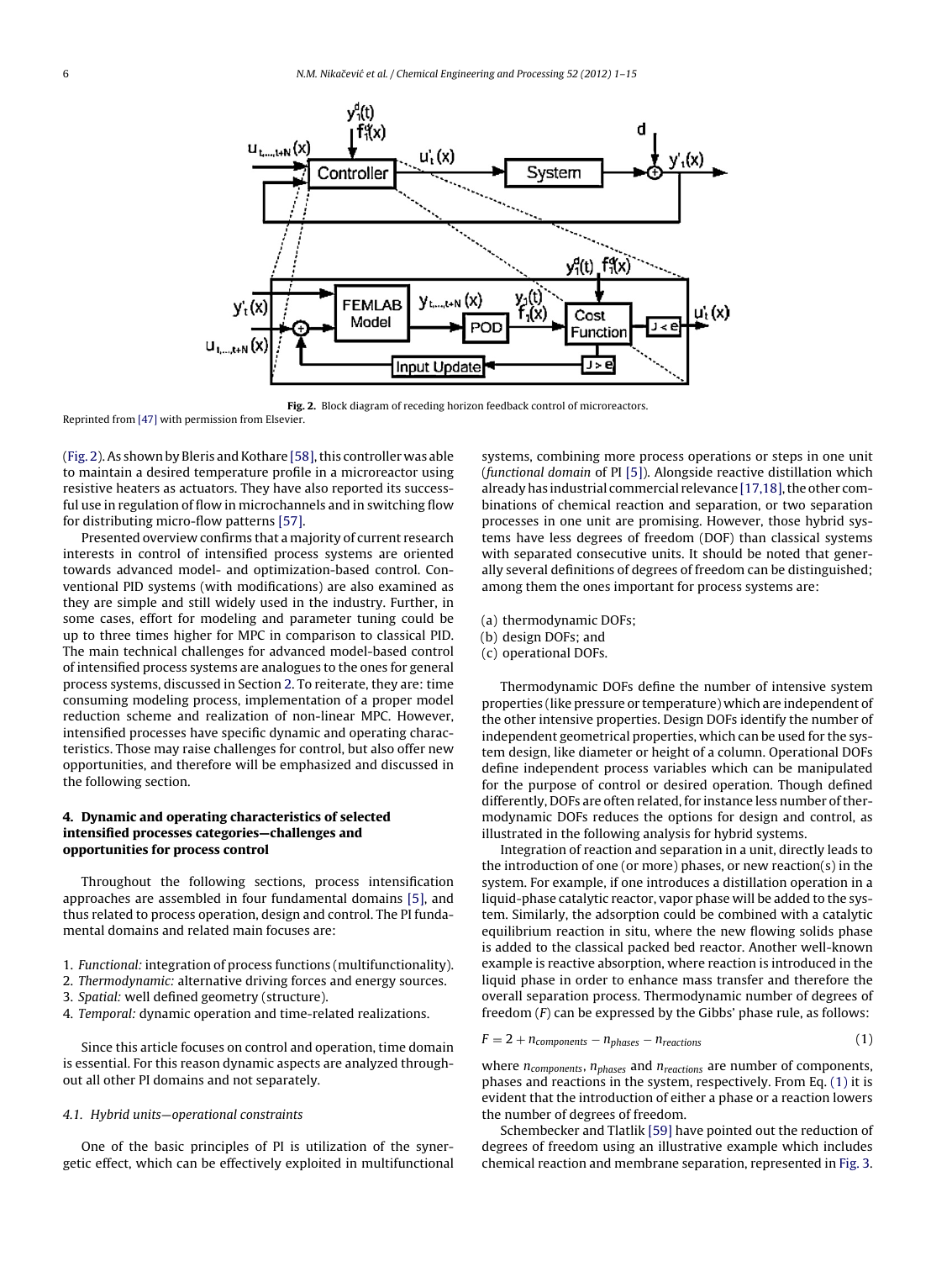<span id="page-5-0"></span>

**Fig. 2.** Block diagram of receding horizon feedback control of microreactors. Reprinted from [\[47\]](#page-13-0) with permission from Elsevier.

(Fig. 2). As shown by Bleris and Kothare [58], this controller was able to maintain a desired temperature profile in a microreactor using resistive heaters as actuators. They have also reported its successful use in regulation of flow in microchannels and in switching flow for distributing micro-flow patterns [\[57\].](#page-14-0)

Presented overview confirms that a majority of current research interests in control of intensified process systems are oriented towards advanced model- and optimization-based control. Conventional PID systems (with modifications) are also examined as they are simple and still widely used in the industry. Further, in some cases, effort for modeling and parameter tuning could be up to three times higher for MPC in comparison to classical PID. The main technical challenges for advanced model-based control of intensified process systems are analogues to the ones for general process systems, discussed in Section [2.](#page-1-0) To reiterate, they are: time consuming modeling process, implementation of a proper model reduction scheme and realization of non-linear MPC. However, intensified processes have specific dynamic and operating characteristics. Those may raise challenges for control, but also offer new opportunities, and therefore will be emphasized and discussed in the following section.

## **4. Dynamic and operating characteristics of selected intensified processes categories—challenges and opportunities for process control**

Throughout the following sections, process intensification approaches are assembled in four fundamental domains [\[5\],](#page-13-0) and thus related to process operation, design and control. The PI fundamental domains and related main focuses are:

- 1. Functional: integration of process functions (multifunctionality).
- 2. Thermodynamic: alternative driving forces and energy sources.
- 3. Spatial: well defined geometry (structure).
- 4. Temporal: dynamic operation and time-related realizations.

Since this article focuses on control and operation, time domain is essential. For this reason dynamic aspects are analyzed throughout all other PI domains and not separately.

#### 4.1. Hybrid units—operational constraints

One of the basic principles of PI is utilization of the synergetic effect, which can be effectively exploited in multifunctional

systems, combining more process operations or steps in one unit (functional domain of PI [\[5\]\).](#page-13-0) Alongside reactive distillation which already has industrial commercial relevance [17,18], the other combinations of chemical reaction and separation, or two separation processes in one unit are promising. However, those hybrid systems have less degrees of freedom (DOF) than classical systems with separated consecutive units. It should be noted that generally several definitions of degrees of freedom can be distinguished; among them the ones important for process systems are:

- (a) thermodynamic DOFs;
- (b) design DOFs; and
- (c) operational DOFs.

Thermodynamic DOFs define the number of intensive system properties (like pressure or temperature) which are independent of the other intensive properties. Design DOFs identify the number of independent geometrical properties, which can be used for the system design, like diameter or height of a column. Operational DOFs define independent process variables which can be manipulated for the purpose of control or desired operation. Though defined differently, DOFs are often related, for instance less number of thermodynamic DOFs reduces the options for design and control, as illustrated in the following analysis for hybrid systems.

Integration of reaction and separation in a unit, directly leads to the introduction of one (or more) phases, or new reaction(s) in the system. For example, if one introduces a distillation operation in a liquid-phase catalytic reactor, vapor phase will be added to the system. Similarly, the adsorption could be combined with a catalytic equilibrium reaction in situ, where the new flowing solids phase is added to the classical packed bed reactor. Another well-known example is reactive absorption, where reaction is introduced in the liquid phase in order to enhance mass transfer and therefore the overall separation process. Thermodynamic number of degrees of freedom (F) can be expressed by the Gibbs' phase rule, as follows:

$$
F = 2 + n_{components} - n_{phases} - n_{reactions}
$$
 (1)

where  $n_{components}$ ,  $n_{phases}$  and  $n_{reactions}$  are number of components, phases and reactions in the system, respectively. From Eq. (1) it is evident that the introduction of either a phase or a reaction lowers the number of degrees of freedom.

Schembecker and Tlatlik [\[59\]](#page-14-0) have pointed out the reduction of degrees of freedom using an illustrative example which includes chemical reaction and membrane separation, represented in [Fig.](#page-6-0) 3.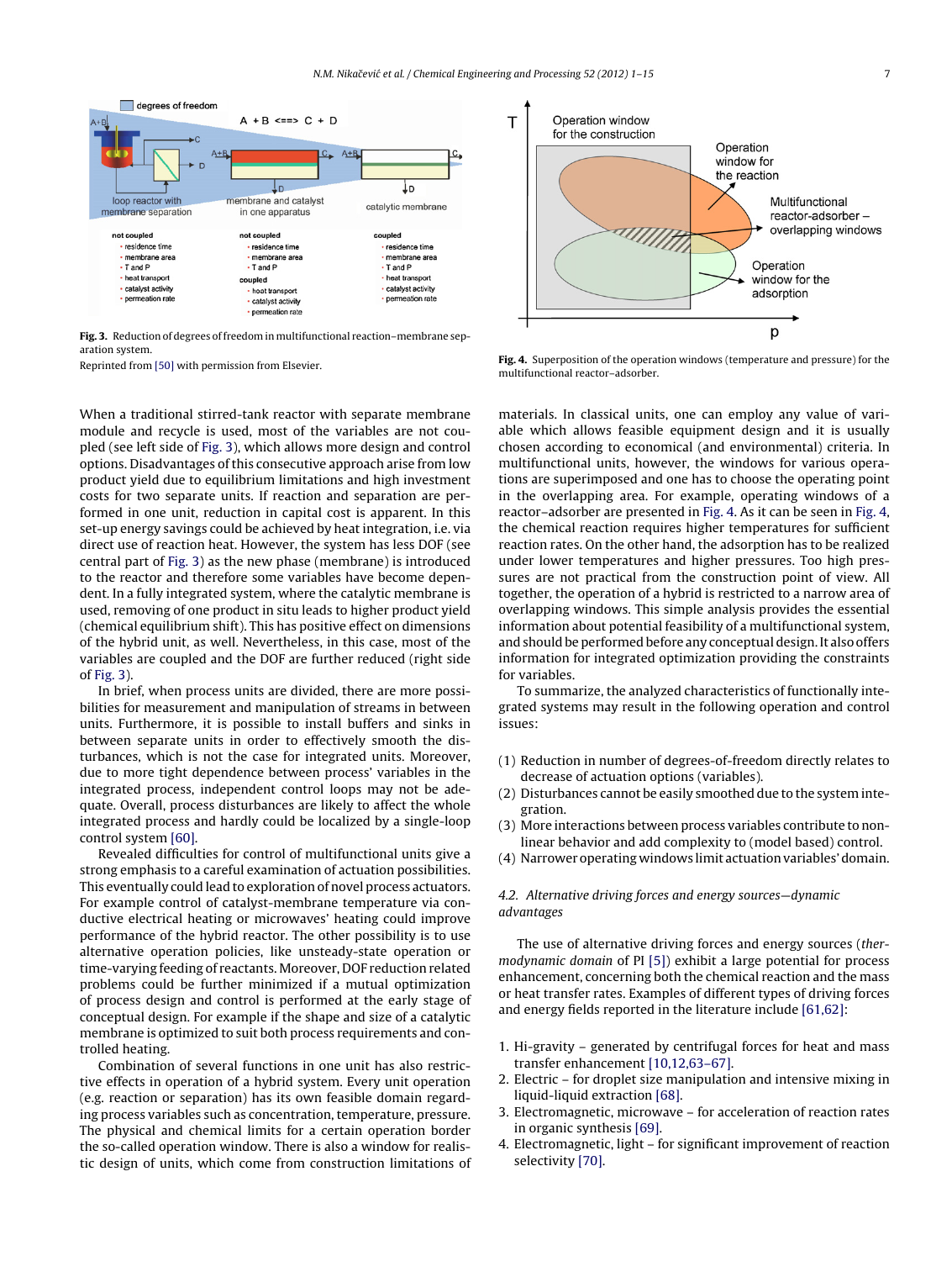<span id="page-6-0"></span>

**Fig. 3.** Reduction of degrees of freedom in multifunctional reaction–membrane separation system.

Reprinted from [\[50\]](#page-13-0) with permission from Elsevier.

When a traditional stirred-tank reactor with separate membrane module and recycle is used, most of the variables are not coupled (see left side of Fig. 3), which allows more design and control options. Disadvantages ofthis consecutive approach arise from low product yield due to equilibrium limitations and high investment costs for two separate units. If reaction and separation are performed in one unit, reduction in capital cost is apparent. In this set-up energy savings could be achieved by heat integration, i.e. via direct use of reaction heat. However, the system has less DOF (see central part of Fig. 3) as the new phase (membrane) is introduced to the reactor and therefore some variables have become dependent. In a fully integrated system, where the catalytic membrane is used, removing of one product in situ leads to higher product yield (chemical equilibrium shift). This has positive effect on dimensions of the hybrid unit, as well. Nevertheless, in this case, most of the variables are coupled and the DOF are further reduced (right side of Fig. 3).

In brief, when process units are divided, there are more possibilities for measurement and manipulation of streams in between units. Furthermore, it is possible to install buffers and sinks in between separate units in order to effectively smooth the disturbances, which is not the case for integrated units. Moreover, due to more tight dependence between process' variables in the integrated process, independent control loops may not be adequate. Overall, process disturbances are likely to affect the whole integrated process and hardly could be localized by a single-loop control system [\[60\].](#page-14-0)

Revealed difficulties for control of multifunctional units give a strong emphasis to a careful examination of actuation possibilities. This eventually could lead to exploration of novel process actuators. For example control of catalyst-membrane temperature via conductive electrical heating or microwaves' heating could improve performance of the hybrid reactor. The other possibility is to use alternative operation policies, like unsteady-state operation or time-varying feeding of reactants. Moreover, DOF reduction related problems could be further minimized if a mutual optimization of process design and control is performed at the early stage of conceptual design. For example if the shape and size of a catalytic membrane is optimized to suit both process requirements and controlled heating.

Combination of several functions in one unit has also restrictive effects in operation of a hybrid system. Every unit operation (e.g. reaction or separation) has its own feasible domain regarding process variables such as concentration, temperature, pressure. The physical and chemical limits for a certain operation border the so-called operation window. There is also a window for realistic design of units, which come from construction limitations of



**Fig. 4.** Superposition of the operation windows (temperature and pressure) for the multifunctional reactor–adsorber.

materials. In classical units, one can employ any value of variable which allows feasible equipment design and it is usually chosen according to economical (and environmental) criteria. In multifunctional units, however, the windows for various operations are superimposed and one has to choose the operating point in the overlapping area. For example, operating windows of a reactor–adsorber are presented in Fig. 4. As it can be seen in Fig. 4, the chemical reaction requires higher temperatures for sufficient reaction rates. On the other hand, the adsorption has to be realized under lower temperatures and higher pressures. Too high pressures are not practical from the construction point of view. All together, the operation of a hybrid is restricted to a narrow area of overlapping windows. This simple analysis provides the essential information about potential feasibility of a multifunctional system, and should be performed before any conceptual design. It also offers information for integrated optimization providing the constraints for variables.

To summarize, the analyzed characteristics of functionally integrated systems may result in the following operation and control issues:

- (1) Reduction in number of degrees-of-freedom directly relates to decrease of actuation options (variables).
- (2) Disturbances cannot be easily smoothed due to the system integration.
- (3) More interactions between process variables contribute to nonlinear behavior and add complexity to (model based) control.
- (4) Narrower operating windows limit actuation variables' domain.

## 4.2. Alternative driving forces and energy sources—dynamic advantages

The use of alternative driving forces and energy sources (thermodynamic domain of PI [\[5\]\)](#page-13-0) exhibit a large potential for process enhancement, concerning both the chemical reaction and the mass or heat transfer rates. Examples of different types of driving forces and energy fields reported in the literature include [\[61,62\]:](#page-14-0)

- 1. Hi-gravity generated by centrifugal forces for heat and mass transfer enhancement [\[10,12,63–67\].](#page-13-0)
- 2. Electric for droplet size manipulation and intensive mixing in liquid-liquid extraction [\[68\].](#page-14-0)
- 3. Electromagnetic, microwave for acceleration of reaction rates in organic synthesis [\[69\].](#page-14-0)
- 4. Electromagnetic, light for significant improvement of reaction selectivity [\[70\].](#page-14-0)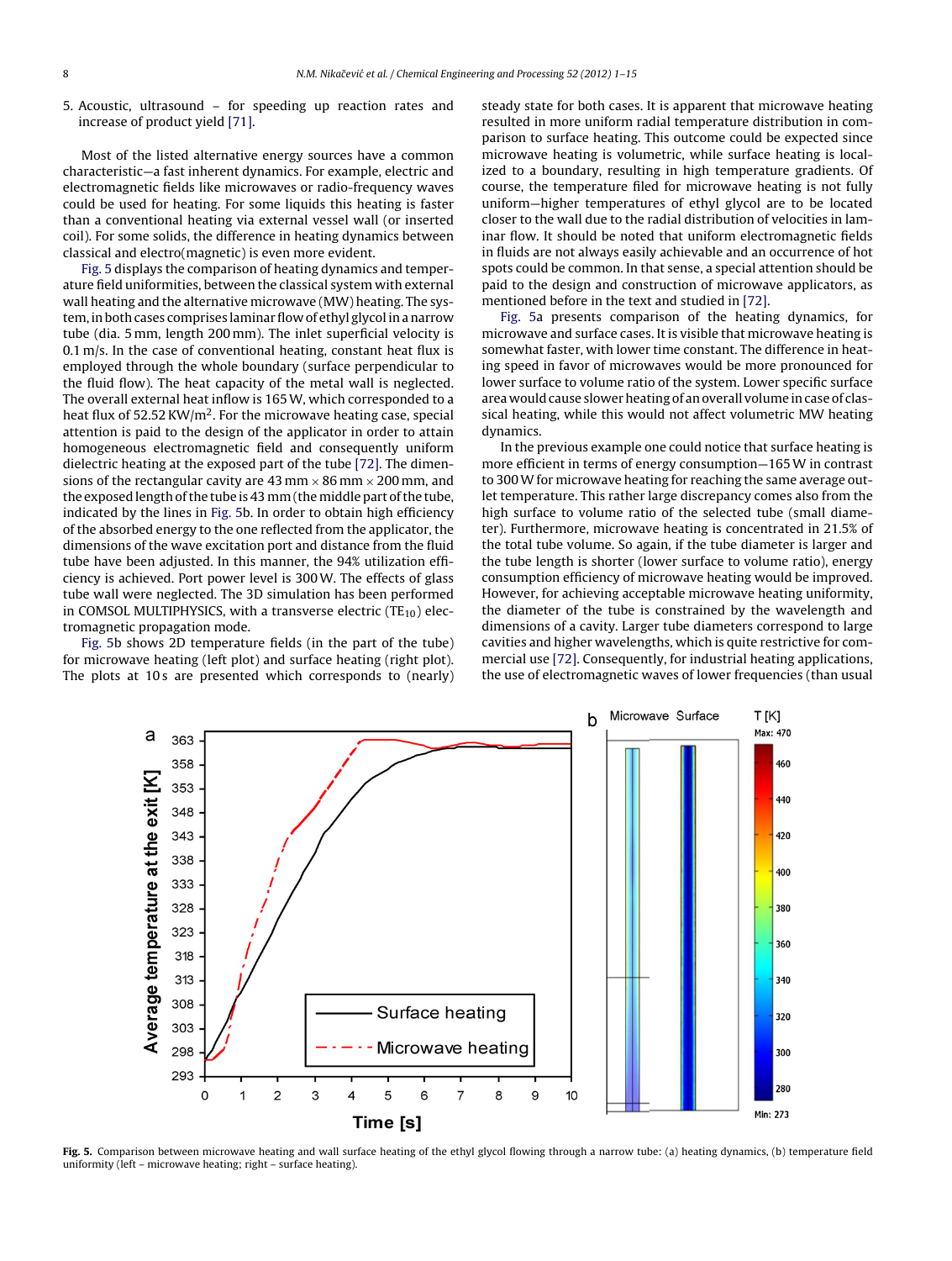5. Acoustic, ultrasound – for speeding up reaction rates and increase of product yield [\[71\].](#page-14-0)

Most of the listed alternative energy sources have a common characteristic—a fast inherent dynamics. For example, electric and electromagnetic fields like microwaves or radio-frequency waves could be used for heating. For some liquids this heating is faster than a conventional heating via external vessel wall (or inserted coil). For some solids, the difference in heating dynamics between classical and electro(magnetic) is even more evident.

Fig. 5 displays the comparison of heating dynamics and temperature field uniformities, between the classical system with external wall heating and the alternative microwave (MW) heating. The system, in both cases comprises laminar flow of ethyl glycol in a narrow tube (dia. 5 mm, length 200 mm). The inlet superficial velocity is 0.1 m/s. In the case of conventional heating, constant heat flux is employed through the whole boundary (surface perpendicular to the fluid flow). The heat capacity of the metal wall is neglected. The overall external heat inflow is 165W, which corresponded to a heat flux of 52.52 KW/ $m^2$ . For the microwave heating case, special attention is paid to the design of the applicator in order to attain homogeneous electromagnetic field and consequently uniform dielectric heating at the exposed part of the tube [\[72\].](#page-14-0) The dimensions of the rectangular cavity are 43 mm  $\times$  86 mm  $\times$  200 mm, and the exposed length of the tube is 43 mm (the middle part of the tube, indicated by the lines in Fig. 5b. In order to obtain high efficiency of the absorbed energy to the one reflected from the applicator, the dimensions of the wave excitation port and distance from the fluid tube have been adjusted. In this manner, the 94% utilization efficiency is achieved. Port power level is 300W. The effects of glass tube wall were neglected. The 3D simulation has been performed in COMSOL MULTIPHYSICS, with a transverse electric  $(TE_{10})$  electromagnetic propagation mode.

Fig. 5b shows 2D temperature fields (in the part of the tube) for microwave heating (left plot) and surface heating (right plot). The plots at 10s are presented which corresponds to (nearly) steady state for both cases. It is apparent that microwave heating resulted in more uniform radial temperature distribution in comparison to surface heating. This outcome could be expected since microwave heating is volumetric, while surface heating is localized to a boundary, resulting in high temperature gradients. Of course, the temperature filed for microwave heating is not fully uniform—higher temperatures of ethyl glycol are to be located closer to the wall due to the radial distribution of velocities in laminar flow. It should be noted that uniform electromagnetic fields in fluids are not always easily achievable and an occurrence of hot spots could be common. In that sense, a special attention should be paid to the design and construction of microwave applicators, as mentioned before in the text and studied in [\[72\].](#page-14-0)

Fig. 5a presents comparison of the heating dynamics, for microwave and surface cases. It is visible that microwave heating is somewhat faster, with lower time constant. The difference in heating speed in favor of microwaves would be more pronounced for lower surface to volume ratio of the system. Lower specific surface area would cause slower heating of an overall volume in case of classical heating, while this would not affect volumetric MW heating dynamics.

In the previous example one could notice that surface heating is more efficient in terms of energy consumption—165W in contrast to 300W for microwave heating for reaching the same average outlet temperature. This rather large discrepancy comes also from the high surface to volume ratio of the selected tube (small diameter). Furthermore, microwave heating is concentrated in 21.5% of the total tube volume. So again, if the tube diameter is larger and the tube length is shorter (lower surface to volume ratio), energy consumption efficiency of microwave heating would be improved. However, for achieving acceptable microwave heating uniformity, the diameter of the tube is constrained by the wavelength and dimensions of a cavity. Larger tube diameters correspond to large cavities and higher wavelengths, which is quite restrictive for commercial use [\[72\].](#page-14-0) Consequently, for industrial heating applications, the use of electromagnetic waves of lower frequencies (than usual



**Fig. 5.** Comparison between microwave heating and wall surface heating of the ethyl glycol flowing through a narrow tube: (a) heating dynamics, (b) temperature field uniformity (left – microwave heating; right – surface heating).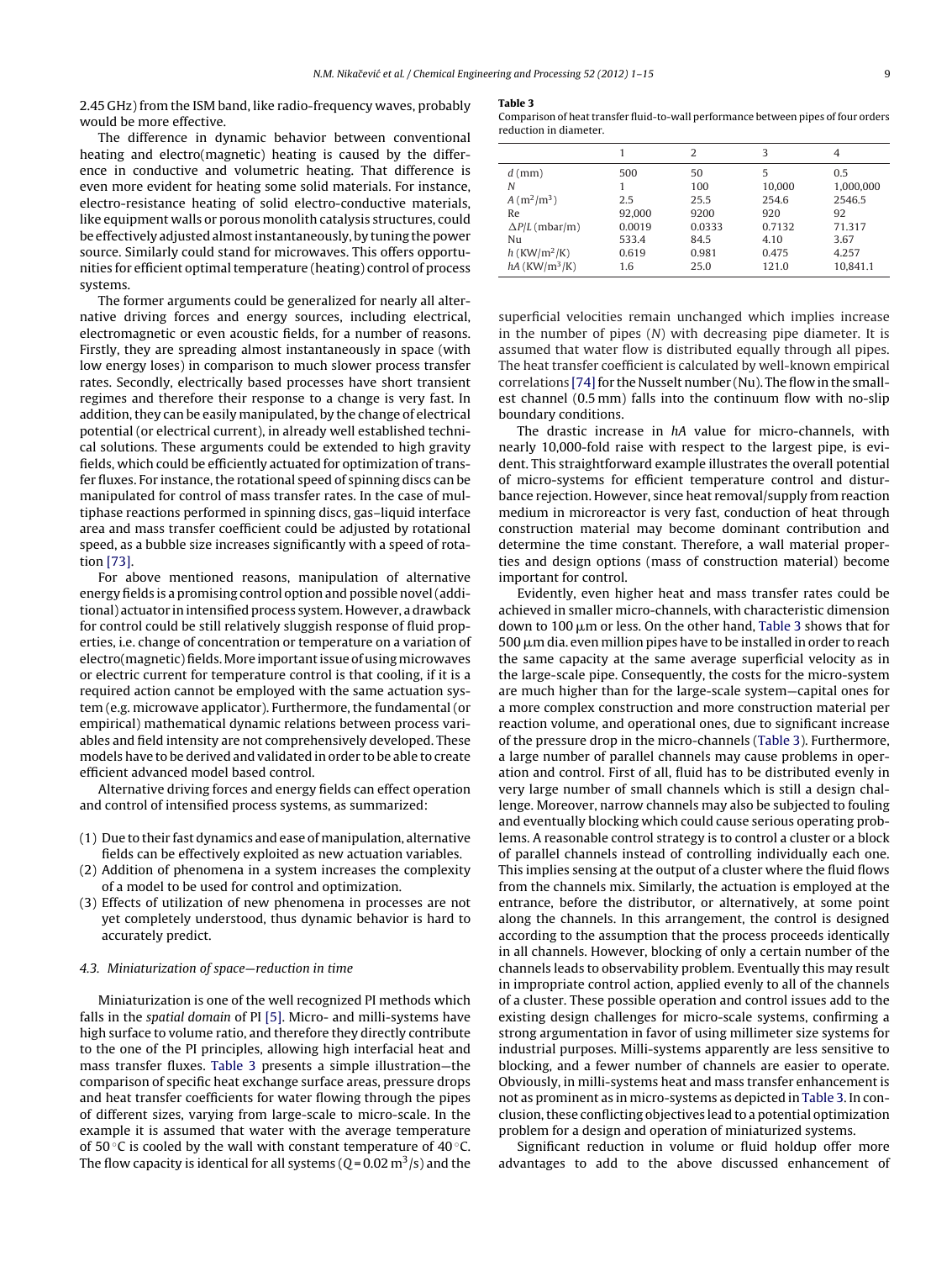2.45 GHz) from the ISM band, like radio-frequency waves, probably would be more effective.

The difference in dynamic behavior between conventional heating and electro(magnetic) heating is caused by the difference in conductive and volumetric heating. That difference is even more evident for heating some solid materials. For instance, electro-resistance heating of solid electro-conductive materials, like equipment walls or porous monolith catalysis structures, could be effectively adjusted almost instantaneously, by tuning the power source. Similarly could stand for microwaves. This offers opportunities for efficient optimal temperature (heating) control of process systems.

The former arguments could be generalized for nearly all alternative driving forces and energy sources, including electrical, electromagnetic or even acoustic fields, for a number of reasons. Firstly, they are spreading almost instantaneously in space (with low energy loses) in comparison to much slower process transfer rates. Secondly, electrically based processes have short transient regimes and therefore their response to a change is very fast. In addition, they can be easily manipulated, by the change of electrical potential (or electrical current), in already well established technical solutions. These arguments could be extended to high gravity fields, which could be efficiently actuated for optimization of transfer fluxes. For instance, the rotational speed of spinning discs can be manipulated for control of mass transfer rates. In the case of multiphase reactions performed in spinning discs, gas–liquid interface area and mass transfer coefficient could be adjusted by rotational speed, as a bubble size increases significantly with a speed of rotation [\[73\].](#page-14-0)

For above mentioned reasons, manipulation of alternative energy fields is a promising control option and possible novel(additional) actuator in intensified process system. However, a drawback for control could be still relatively sluggish response of fluid properties, i.e. change of concentration or temperature on a variation of electro(magnetic) fields. More important issue of using microwaves or electric current for temperature control is that cooling, if it is a required action cannot be employed with the same actuation system (e.g. microwave applicator). Furthermore, the fundamental (or empirical) mathematical dynamic relations between process variables and field intensity are not comprehensively developed. These models have to be derived and validated in order to be able to create efficient advanced model based control.

Alternative driving forces and energy fields can effect operation and control of intensified process systems, as summarized:

- (1) Due to their fast dynamics and ease of manipulation, alternative fields can be effectively exploited as new actuation variables.
- (2) Addition of phenomena in a system increases the complexity of a model to be used for control and optimization.
- (3) Effects of utilization of new phenomena in processes are not yet completely understood, thus dynamic behavior is hard to accurately predict.

#### 4.3. Miniaturization of space—reduction in time

Miniaturization is one of the well recognized PI methods which falls in the spatial domain of PI [\[5\].](#page-13-0) Micro- and milli-systems have high surface to volume ratio, and therefore they directly contribute to the one of the PI principles, allowing high interfacial heat and mass transfer fluxes. Table 3 presents a simple illustration—the comparison of specific heat exchange surface areas, pressure drops and heat transfer coefficients for water flowing through the pipes of different sizes, varying from large-scale to micro-scale. In the example it is assumed that water with the average temperature of 50  $\degree$ C is cooled by the wall with constant temperature of 40  $\degree$ C. The flow capacity is identical for all systems ( $Q = 0.02 \text{ m}^3/\text{s}$ ) and the

#### **Table 3**

Comparison of heat transfer fluid-to-wall performance between pipes of four orders reduction in diameter.

|                             |        | 2      | 3      | 4         |
|-----------------------------|--------|--------|--------|-----------|
| $d$ (mm)                    | 500    | 50     | 5      | 0.5       |
| N                           |        | 100    | 10,000 | 1,000,000 |
| $A(m^2/m^3)$                | 2.5    | 25.5   | 254.6  | 2546.5    |
| Re                          | 92,000 | 9200   | 920    | 92        |
| $\Delta P/L$ (mbar/m)       | 0.0019 | 0.0333 | 0.7132 | 71.317    |
| Nu                          | 533.4  | 84.5   | 4.10   | 3.67      |
| $h$ (KW/m <sup>2</sup> /K)  | 0.619  | 0.981  | 0.475  | 4.257     |
| $hA$ (KW/m <sup>3</sup> /K) | 1.6    | 25.0   | 121.0  | 10,841.1  |

superficial velocities remain unchanged which implies increase in the number of pipes (N) with decreasing pipe diameter. It is assumed that water flow is distributed equally through all pipes. The heat transfer coefficient is calculated by well-known empirical correlations [74] for the Nusselt number (Nu). The flow in the smallest channel (0.5 mm) falls into the continuum flow with no-slip boundary conditions.

The drastic increase in hA value for micro-channels, with nearly 10,000-fold raise with respect to the largest pipe, is evident. This straightforward example illustrates the overall potential of micro-systems for efficient temperature control and disturbance rejection. However, since heat removal/supply from reaction medium in microreactor is very fast, conduction of heat through construction material may become dominant contribution and determine the time constant. Therefore, a wall material properties and design options (mass of construction material) become important for control.

Evidently, even higher heat and mass transfer rates could be achieved in smaller micro-channels, with characteristic dimension down to 100  $\mu$ m or less. On the other hand, Table 3 shows that for  $500\,\rm \mu m$  dia. even million pipes have to be installed in order to reach the same capacity at the same average superficial velocity as in the large-scale pipe. Consequently, the costs for the micro-system are much higher than for the large-scale system—capital ones for a more complex construction and more construction material per reaction volume, and operational ones, due to significant increase of the pressure drop in the micro-channels (Table 3). Furthermore, a large number of parallel channels may cause problems in operation and control. First of all, fluid has to be distributed evenly in very large number of small channels which is still a design challenge. Moreover, narrow channels may also be subjected to fouling and eventually blocking which could cause serious operating problems. A reasonable control strategy is to control a cluster or a block of parallel channels instead of controlling individually each one. This implies sensing at the output of a cluster where the fluid flows from the channels mix. Similarly, the actuation is employed at the entrance, before the distributor, or alternatively, at some point along the channels. In this arrangement, the control is designed according to the assumption that the process proceeds identically in all channels. However, blocking of only a certain number of the channels leads to observability problem. Eventually this may result in impropriate control action, applied evenly to all of the channels of a cluster. These possible operation and control issues add to the existing design challenges for micro-scale systems, confirming a strong argumentation in favor of using millimeter size systems for industrial purposes. Milli-systems apparently are less sensitive to blocking, and a fewer number of channels are easier to operate. Obviously, in milli-systems heat and mass transfer enhancement is not as prominent as in micro-systems as depicted in Table 3. In conclusion,these conflicting objectives lead to a potential optimization problem for a design and operation of miniaturized systems.

Significant reduction in volume or fluid holdup offer more advantages to add to the above discussed enhancement of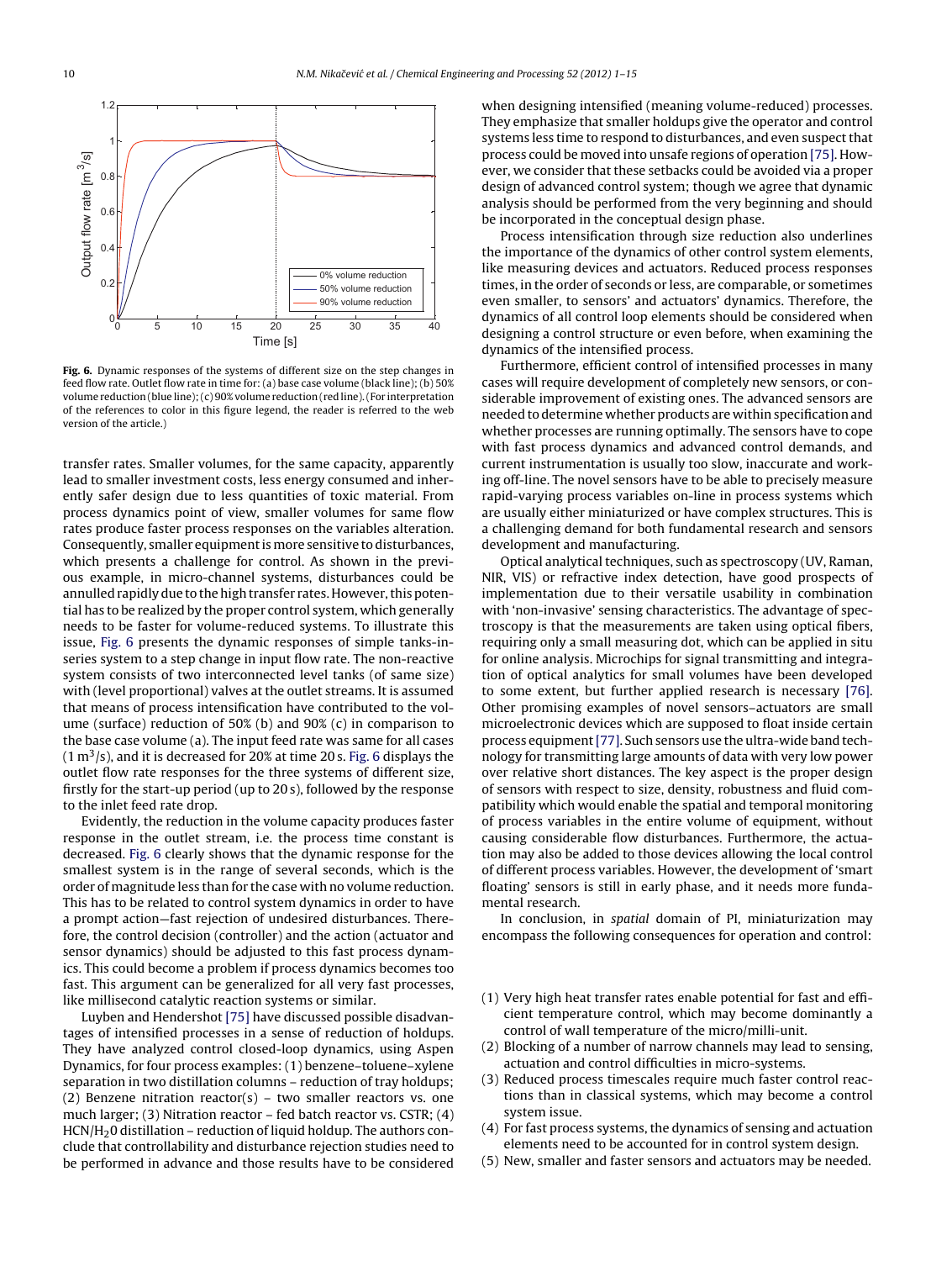

**Fig. 6.** Dynamic responses of the systems of different size on the step changes in feed flow rate. Outlet flow rate in time for: (a) base case volume (black line); (b) 50% volume reduction (blue line);(c) 90%volume reduction (red line).(For interpretation of the references to color in this figure legend, the reader is referred to the web version of the article.)

transfer rates. Smaller volumes, for the same capacity, apparently lead to smaller investment costs, less energy consumed and inherently safer design due to less quantities of toxic material. From process dynamics point of view, smaller volumes for same flow rates produce faster process responses on the variables alteration. Consequently, smaller equipment is more sensitive to disturbances, which presents a challenge for control. As shown in the previous example, in micro-channel systems, disturbances could be annulled rapidly due to the high transfer rates. However, this potential has to be realized by the proper control system, which generally needs to be faster for volume-reduced systems. To illustrate this issue, Fig. 6 presents the dynamic responses of simple tanks-inseries system to a step change in input flow rate. The non-reactive system consists of two interconnected level tanks (of same size) with (level proportional) valves at the outlet streams. It is assumed that means of process intensification have contributed to the volume (surface) reduction of 50% (b) and 90% (c) in comparison to the base case volume (a). The input feed rate was same for all cases  $(1 \text{ m}^3/\text{s})$ , and it is decreased for 20% at time 20 s. Fig. 6 displays the outlet flow rate responses for the three systems of different size, firstly for the start-up period (up to 20 s), followed by the response to the inlet feed rate drop.

Evidently, the reduction in the volume capacity produces faster response in the outlet stream, i.e. the process time constant is decreased. Fig. 6 clearly shows that the dynamic response for the smallest system is in the range of several seconds, which is the order of magnitude less than for the case with no volume reduction. This has to be related to control system dynamics in order to have a prompt action—fast rejection of undesired disturbances. Therefore, the control decision (controller) and the action (actuator and sensor dynamics) should be adjusted to this fast process dynamics. This could become a problem if process dynamics becomes too fast. This argument can be generalized for all very fast processes, like millisecond catalytic reaction systems or similar.

Luyben and Hendershot [\[75\]](#page-14-0) have discussed possible disadvantages of intensified processes in a sense of reduction of holdups. They have analyzed control closed-loop dynamics, using Aspen Dynamics, for four process examples: (1) benzene–toluene–xylene separation in two distillation columns – reduction of tray holdups; (2) Benzene nitration reactor(s) – two smaller reactors vs. one much larger; (3) Nitration reactor – fed batch reactor vs. CSTR; (4) HCN/H20 distillation – reduction of liquid holdup. The authors conclude that controllability and disturbance rejection studies need to be performed in advance and those results have to be considered

when designing intensified (meaning volume-reduced) processes. They emphasize that smaller holdups give the operator and control systems less time to respond to disturbances, and even suspect that process could be moved into unsafe regions of operation [\[75\].](#page-14-0) However, we consider that these setbacks could be avoided via a proper design of advanced control system; though we agree that dynamic analysis should be performed from the very beginning and should be incorporated in the conceptual design phase.

Process intensification through size reduction also underlines the importance of the dynamics of other control system elements, like measuring devices and actuators. Reduced process responses times, in the order of seconds or less, are comparable, or sometimes even smaller, to sensors' and actuators' dynamics. Therefore, the dynamics of all control loop elements should be considered when designing a control structure or even before, when examining the dynamics of the intensified process.

Furthermore, efficient control of intensified processes in many cases will require development of completely new sensors, or considerable improvement of existing ones. The advanced sensors are needed to determine whether products are within specification and whether processes are running optimally. The sensors have to cope with fast process dynamics and advanced control demands, and current instrumentation is usually too slow, inaccurate and working off-line. The novel sensors have to be able to precisely measure rapid-varying process variables on-line in process systems which are usually either miniaturized or have complex structures. This is a challenging demand for both fundamental research and sensors development and manufacturing.

Optical analytical techniques, such as spectroscopy (UV, Raman, NIR, VIS) or refractive index detection, have good prospects of implementation due to their versatile usability in combination with 'non-invasive' sensing characteristics. The advantage of spectroscopy is that the measurements are taken using optical fibers, requiring only a small measuring dot, which can be applied in situ for online analysis. Microchips for signal transmitting and integration of optical analytics for small volumes have been developed to some extent, but further applied research is necessary [\[76\].](#page-14-0) Other promising examples of novel sensors–actuators are small microelectronic devices which are supposed to float inside certain process equipment[\[77\].](#page-14-0) Such sensors use the ultra-wide band technology for transmitting large amounts of data with very low power over relative short distances. The key aspect is the proper design of sensors with respect to size, density, robustness and fluid compatibility which would enable the spatial and temporal monitoring of process variables in the entire volume of equipment, without causing considerable flow disturbances. Furthermore, the actuation may also be added to those devices allowing the local control of different process variables. However, the development of 'smart floating' sensors is still in early phase, and it needs more fundamental research.

In conclusion, in spatial domain of PI, miniaturization may encompass the following consequences for operation and control:

- (1) Very high heat transfer rates enable potential for fast and efficient temperature control, which may become dominantly a control of wall temperature of the micro/milli-unit.
- (2) Blocking of a number of narrow channels may lead to sensing, actuation and control difficulties in micro-systems.
- (3) Reduced process timescales require much faster control reactions than in classical systems, which may become a control system issue.
- (4) For fast process systems, the dynamics of sensing and actuation elements need to be accounted for in control system design.
- (5) New, smaller and faster sensors and actuators may be needed.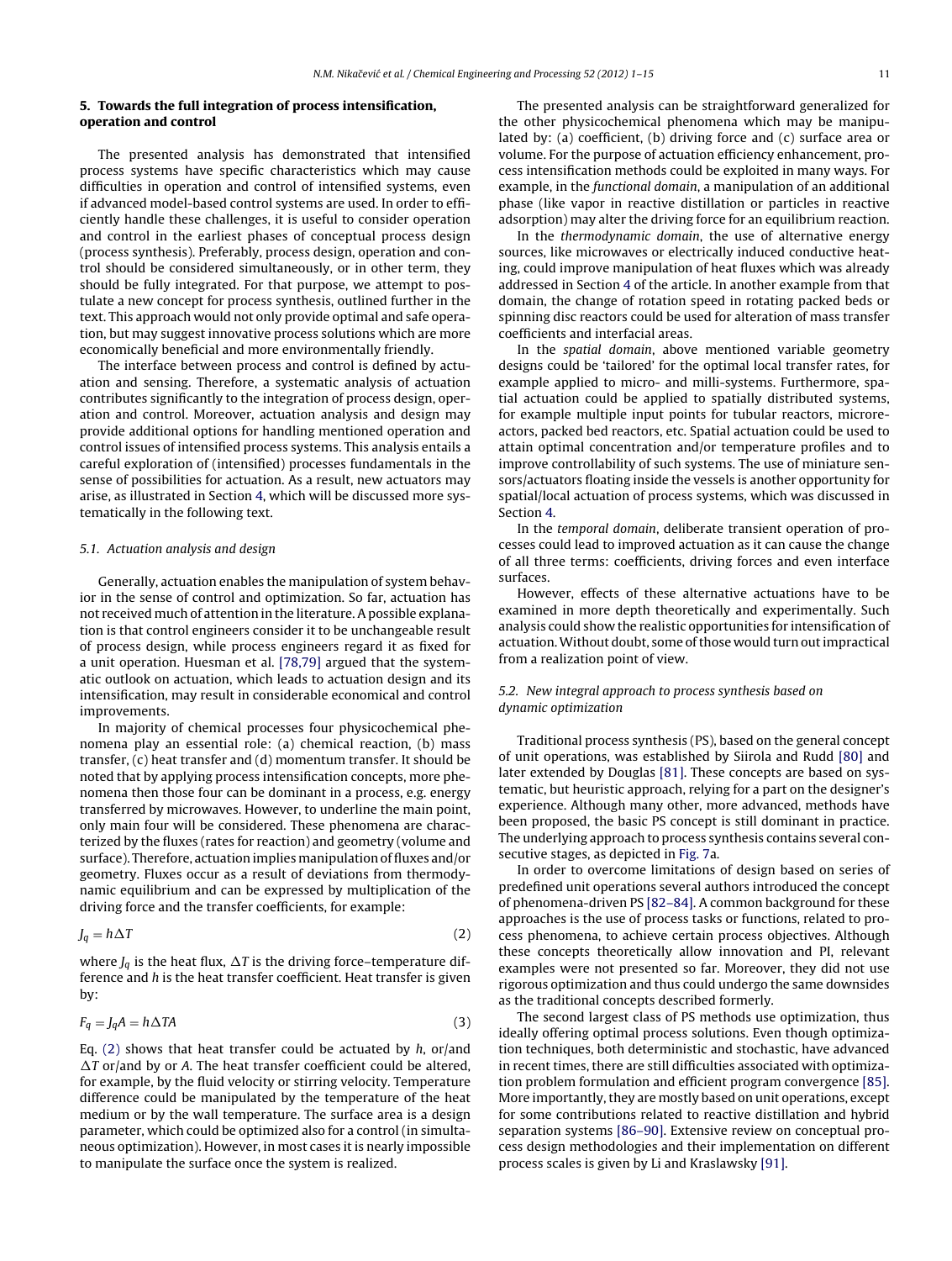### **5. Towards the full integration of process intensification, operation and control**

The presented analysis has demonstrated that intensified process systems have specific characteristics which may cause difficulties in operation and control of intensified systems, even if advanced model-based control systems are used. In order to efficiently handle these challenges, it is useful to consider operation and control in the earliest phases of conceptual process design (process synthesis). Preferably, process design, operation and control should be considered simultaneously, or in other term, they should be fully integrated. For that purpose, we attempt to postulate a new concept for process synthesis, outlined further in the text. This approach would not only provide optimal and safe operation, but may suggest innovative process solutions which are more economically beneficial and more environmentally friendly.

The interface between process and control is defined by actuation and sensing. Therefore, a systematic analysis of actuation contributes significantly to the integration of process design, operation and control. Moreover, actuation analysis and design may provide additional options for handling mentioned operation and control issues of intensified process systems. This analysis entails a careful exploration of (intensified) processes fundamentals in the sense of possibilities for actuation. As a result, new actuators may arise, as illustrated in Section [4,](#page-5-0) which will be discussed more systematically in the following text.

#### 5.1. Actuation analysis and design

Generally, actuation enables the manipulation of system behavior in the sense of control and optimization. So far, actuation has not received much of attention in the literature. A possible explanation is that control engineers consider it to be unchangeable result of process design, while process engineers regard it as fixed for a unit operation. Huesman et al. [\[78,79\]](#page-14-0) argued that the systematic outlook on actuation, which leads to actuation design and its intensification, may result in considerable economical and control improvements.

In majority of chemical processes four physicochemical phenomena play an essential role: (a) chemical reaction, (b) mass transfer, (c) heat transfer and (d) momentum transfer. It should be noted that by applying process intensification concepts, more phenomena then those four can be dominant in a process, e.g. energy transferred by microwaves. However, to underline the main point, only main four will be considered. These phenomena are characterized by the fluxes (rates for reaction) and geometry (volume and surface). Therefore, actuation implies manipulation of fluxes and/or geometry. Fluxes occur as a result of deviations from thermodynamic equilibrium and can be expressed by multiplication of the driving force and the transfer coefficients, for example:

$$
J_q = h \Delta T \tag{2}
$$

where  $J_q$  is the heat flux,  $\Delta T$  is the driving force–temperature difference and h is the heat transfer coefficient. Heat transfer is given by:

$$
F_q = J_q A = h \Delta T A \tag{3}
$$

Eq. (2) shows that heat transfer could be actuated by  $h$ , or/and  $\Delta T$  or/and by or A. The heat transfer coefficient could be altered, for example, by the fluid velocity or stirring velocity. Temperature difference could be manipulated by the temperature of the heat medium or by the wall temperature. The surface area is a design parameter, which could be optimized also for a control (in simultaneous optimization). However, in most cases it is nearly impossible to manipulate the surface once the system is realized.

The presented analysis can be straightforward generalized for the other physicochemical phenomena which may be manipulated by: (a) coefficient, (b) driving force and (c) surface area or volume. For the purpose of actuation efficiency enhancement, process intensification methods could be exploited in many ways. For example, in the functional domain, a manipulation of an additional phase (like vapor in reactive distillation or particles in reactive adsorption) may alter the driving force for an equilibrium reaction.

In the thermodynamic domain, the use of alternative energy sources, like microwaves or electrically induced conductive heating, could improve manipulation of heat fluxes which was already addressed in Section [4](#page-5-0) of the article. In another example from that domain, the change of rotation speed in rotating packed beds or spinning disc reactors could be used for alteration of mass transfer coefficients and interfacial areas.

In the spatial domain, above mentioned variable geometry designs could be 'tailored' for the optimal local transfer rates, for example applied to micro- and milli-systems. Furthermore, spatial actuation could be applied to spatially distributed systems, for example multiple input points for tubular reactors, microreactors, packed bed reactors, etc. Spatial actuation could be used to attain optimal concentration and/or temperature profiles and to improve controllability of such systems. The use of miniature sensors/actuators floating inside the vessels is another opportunity for spatial/local actuation of process systems, which was discussed in Section [4.](#page-5-0)

In the temporal domain, deliberate transient operation of processes could lead to improved actuation as it can cause the change of all three terms: coefficients, driving forces and even interface surfaces.

However, effects of these alternative actuations have to be examined in more depth theoretically and experimentally. Such analysis could show the realistic opportunities for intensification of actuation. Without doubt, some of those would turn out impractical from a realization point of view.

## 5.2. New integral approach to process synthesis based on dynamic optimization

Traditional process synthesis (PS), based on the general concept of unit operations, was established by Siirola and Rudd [\[80\]](#page-14-0) and later extended by Douglas [\[81\].](#page-14-0) These concepts are based on systematic, but heuristic approach, relying for a part on the designer's experience. Although many other, more advanced, methods have been proposed, the basic PS concept is still dominant in practice. The underlying approach to process synthesis contains several consecutive stages, as depicted in [Fig.](#page-11-0) 7a.

In order to overcome limitations of design based on series of predefined unit operations several authors introduced the concept of phenomena-driven PS [\[82–84\].](#page-14-0) A common background for these approaches is the use of process tasks or functions, related to process phenomena, to achieve certain process objectives. Although these concepts theoretically allow innovation and PI, relevant examples were not presented so far. Moreover, they did not use rigorous optimization and thus could undergo the same downsides as the traditional concepts described formerly.

The second largest class of PS methods use optimization, thus ideally offering optimal process solutions. Even though optimization techniques, both deterministic and stochastic, have advanced in recent times, there are still difficulties associated with optimization problem formulation and efficient program convergence [\[85\].](#page-14-0) More importantly, they are mostly based on unit operations, except for some contributions related to reactive distillation and hybrid separation systems [\[86–90\].](#page-14-0) Extensive review on conceptual process design methodologies and their implementation on different process scales is given by Li and Kraslawsky [\[91\].](#page-14-0)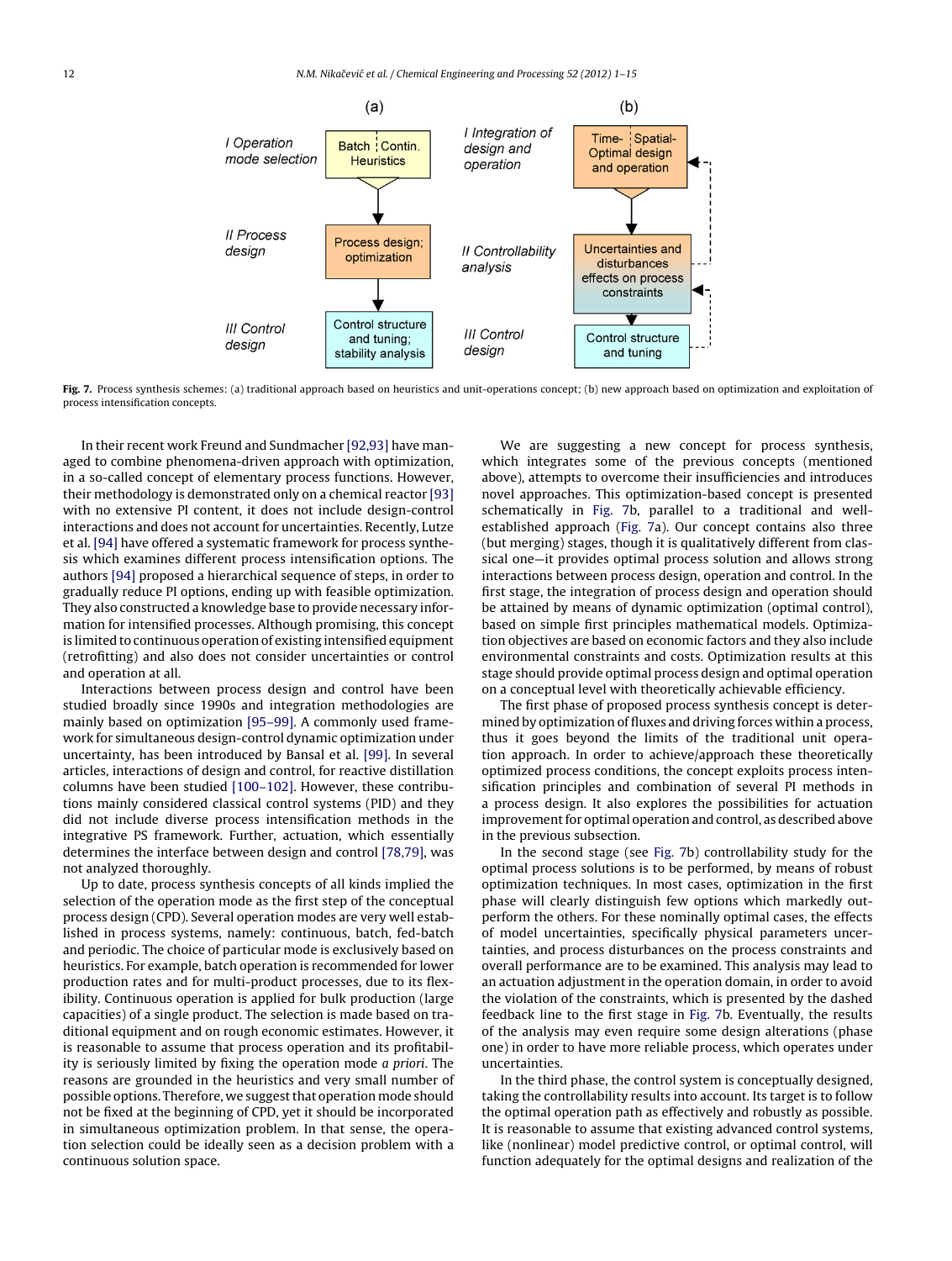<span id="page-11-0"></span>

**Fig. 7.** Process synthesis schemes: (a) traditional approach based on heuristics and unit-operations concept; (b) new approach based on optimization and exploitation of process intensification concepts.

In their recent work Freund and Sundmacher [\[92,93\]](#page-14-0) have managed to combine phenomena-driven approach with optimization, in a so-called concept of elementary process functions. However, their methodology is demonstrated only on a chemical reactor [\[93\]](#page-14-0) with no extensive PI content, it does not include design-control interactions and does not account for uncertainties. Recently, Lutze et al. [\[94\]](#page-14-0) have offered a systematic framework for process synthesis which examines different process intensification options. The authors [\[94\]](#page-14-0) proposed a hierarchical sequence of steps, in order to gradually reduce PI options, ending up with feasible optimization. They also constructed a knowledge base to provide necessary information for intensified processes. Although promising, this concept is limited to continuous operation of existing intensified equipment (retrofitting) and also does not consider uncertainties or control and operation at all.

Interactions between process design and control have been studied broadly since 1990s and integration methodologies are mainly based on optimization [\[95–99\].](#page-14-0) A commonly used framework for simultaneous design-control dynamic optimization under uncertainty, has been introduced by Bansal et al. [\[99\].](#page-14-0) In several articles, interactions of design and control, for reactive distillation columns have been studied [\[100–102\].](#page-14-0) However, these contributions mainly considered classical control systems (PID) and they did not include diverse process intensification methods in the integrative PS framework. Further, actuation, which essentially determines the interface between design and control [\[78,79\],](#page-14-0) was not analyzed thoroughly.

Up to date, process synthesis concepts of all kinds implied the selection of the operation mode as the first step of the conceptual process design (CPD). Several operation modes are very well established in process systems, namely: continuous, batch, fed-batch and periodic. The choice of particular mode is exclusively based on heuristics. For example, batch operation is recommended for lower production rates and for multi-product processes, due to its flexibility. Continuous operation is applied for bulk production (large capacities) of a single product. The selection is made based on traditional equipment and on rough economic estimates. However, it is reasonable to assume that process operation and its profitability is seriously limited by fixing the operation mode a priori. The reasons are grounded in the heuristics and very small number of possible options. Therefore, we suggest that operation mode should not be fixed at the beginning of CPD, yet it should be incorporated in simultaneous optimization problem. In that sense, the operation selection could be ideally seen as a decision problem with a continuous solution space.

We are suggesting a new concept for process synthesis, which integrates some of the previous concepts (mentioned above), attempts to overcome their insufficiencies and introduces novel approaches. This optimization-based concept is presented schematically in Fig. 7b, parallel to a traditional and wellestablished approach (Fig. 7a). Our concept contains also three (but merging) stages, though it is qualitatively different from classical one—it provides optimal process solution and allows strong interactions between process design, operation and control. In the first stage, the integration of process design and operation should be attained by means of dynamic optimization (optimal control), based on simple first principles mathematical models. Optimization objectives are based on economic factors and they also include environmental constraints and costs. Optimization results at this stage should provide optimal process design and optimal operation on a conceptual level with theoretically achievable efficiency.

The first phase of proposed process synthesis concept is determined by optimization of fluxes and driving forces within a process, thus it goes beyond the limits of the traditional unit operation approach. In order to achieve/approach these theoretically optimized process conditions, the concept exploits process intensification principles and combination of several PI methods in a process design. It also explores the possibilities for actuation improvement for optimal operation and control, as described above in the previous subsection.

In the second stage (see Fig. 7b) controllability study for the optimal process solutions is to be performed, by means of robust optimization techniques. In most cases, optimization in the first phase will clearly distinguish few options which markedly outperform the others. For these nominally optimal cases, the effects of model uncertainties, specifically physical parameters uncertainties, and process disturbances on the process constraints and overall performance are to be examined. This analysis may lead to an actuation adjustment in the operation domain, in order to avoid the violation of the constraints, which is presented by the dashed feedback line to the first stage in Fig. 7b. Eventually, the results of the analysis may even require some design alterations (phase one) in order to have more reliable process, which operates under uncertainties.

In the third phase, the control system is conceptually designed, taking the controllability results into account. Its target is to follow the optimal operation path as effectively and robustly as possible. It is reasonable to assume that existing advanced control systems, like (nonlinear) model predictive control, or optimal control, will function adequately for the optimal designs and realization of the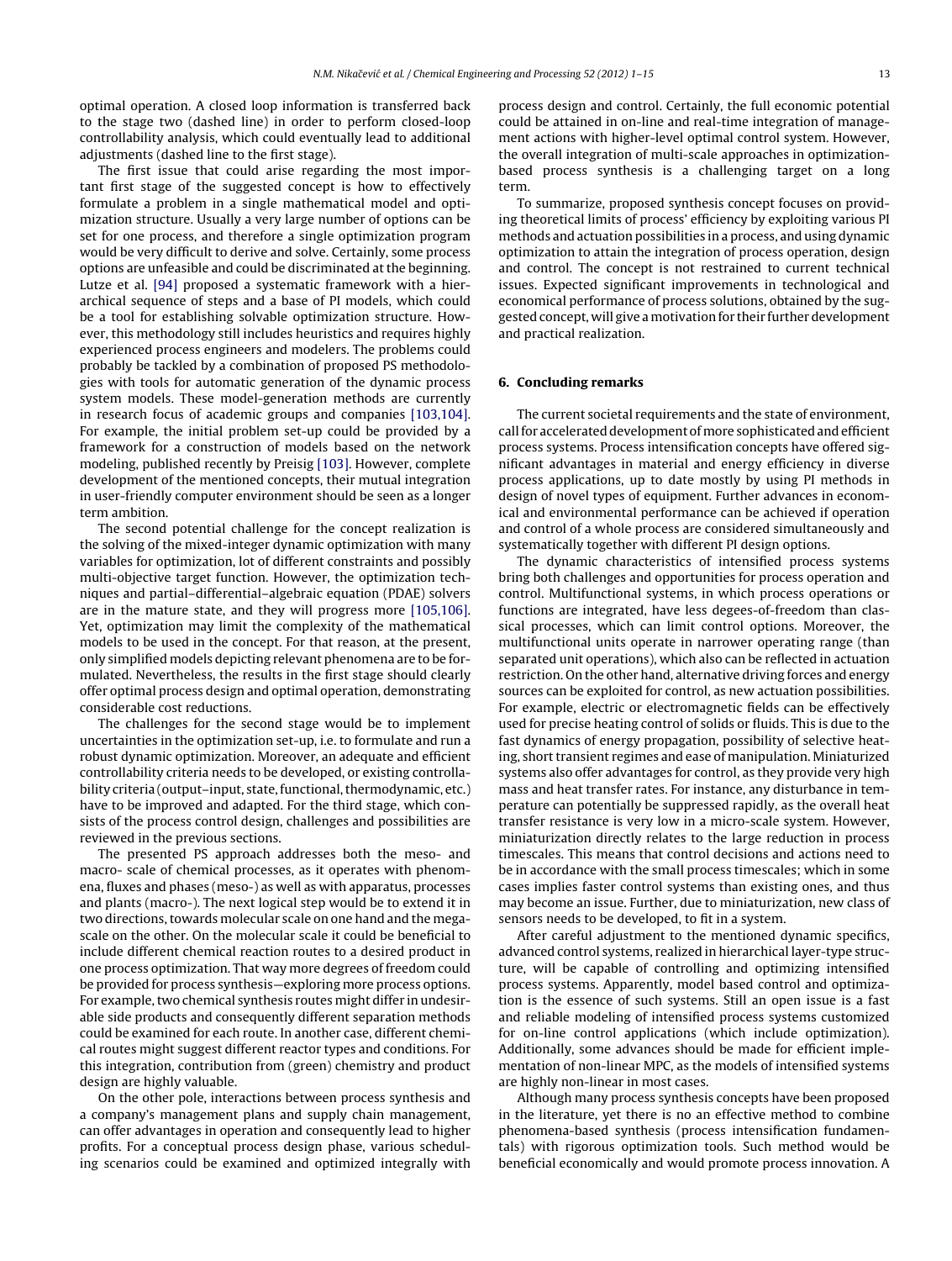optimal operation. A closed loop information is transferred back to the stage two (dashed line) in order to perform closed-loop controllability analysis, which could eventually lead to additional adjustments (dashed line to the first stage).

The first issue that could arise regarding the most important first stage of the suggested concept is how to effectively formulate a problem in a single mathematical model and optimization structure. Usually a very large number of options can be set for one process, and therefore a single optimization program would be very difficult to derive and solve. Certainly, some process options are unfeasible and could be discriminated at the beginning. Lutze et al. [\[94\]](#page-14-0) proposed a systematic framework with a hierarchical sequence of steps and a base of PI models, which could be a tool for establishing solvable optimization structure. However, this methodology still includes heuristics and requires highly experienced process engineers and modelers. The problems could probably be tackled by a combination of proposed PS methodologies with tools for automatic generation of the dynamic process system models. These model-generation methods are currently in research focus of academic groups and companies [\[103,104\].](#page-14-0) For example, the initial problem set-up could be provided by a framework for a construction of models based on the network modeling, published recently by Preisig [\[103\].](#page-14-0) However, complete development of the mentioned concepts, their mutual integration in user-friendly computer environment should be seen as a longer term ambition.

The second potential challenge for the concept realization is the solving of the mixed-integer dynamic optimization with many variables for optimization, lot of different constraints and possibly multi-objective target function. However, the optimization techniques and partial–differential–algebraic equation (PDAE) solvers are in the mature state, and they will progress more [\[105,106\].](#page-14-0) Yet, optimization may limit the complexity of the mathematical models to be used in the concept. For that reason, at the present, only simplified models depicting relevant phenomena are to be formulated. Nevertheless, the results in the first stage should clearly offer optimal process design and optimal operation, demonstrating considerable cost reductions.

The challenges for the second stage would be to implement uncertainties in the optimization set-up, i.e. to formulate and run a robust dynamic optimization. Moreover, an adequate and efficient controllability criteria needs to be developed, or existing controllability criteria (output–input, state, functional, thermodynamic, etc.) have to be improved and adapted. For the third stage, which consists of the process control design, challenges and possibilities are reviewed in the previous sections.

The presented PS approach addresses both the meso- and macro- scale of chemical processes, as it operates with phenomena, fluxes and phases (meso-) as well as with apparatus, processes and plants (macro-). The next logical step would be to extend it in two directions, towards molecular scale on one hand and the megascale on the other. On the molecular scale it could be beneficial to include different chemical reaction routes to a desired product in one process optimization. That way more degrees of freedom could be provided for process synthesis—exploring more process options. For example, two chemical synthesis routes might differ in undesirable side products and consequently different separation methods could be examined for each route. In another case, different chemical routes might suggest different reactor types and conditions. For this integration, contribution from (green) chemistry and product design are highly valuable.

On the other pole, interactions between process synthesis and a company's management plans and supply chain management, can offer advantages in operation and consequently lead to higher profits. For a conceptual process design phase, various scheduling scenarios could be examined and optimized integrally with process design and control. Certainly, the full economic potential could be attained in on-line and real-time integration of management actions with higher-level optimal control system. However, the overall integration of multi-scale approaches in optimizationbased process synthesis is a challenging target on a long term.

To summarize, proposed synthesis concept focuses on providing theoretical limits of process' efficiency by exploiting various PI methods and actuation possibilities in a process, and using dynamic optimization to attain the integration of process operation, design and control. The concept is not restrained to current technical issues. Expected significant improvements in technological and economical performance of process solutions, obtained by the suggested concept, will give amotivationfor their further development and practical realization.

#### **6. Concluding remarks**

The current societal requirements and the state of environment, call for accelerated development of more sophisticated and efficient process systems. Process intensification concepts have offered significant advantages in material and energy efficiency in diverse process applications, up to date mostly by using PI methods in design of novel types of equipment. Further advances in economical and environmental performance can be achieved if operation and control of a whole process are considered simultaneously and systematically together with different PI design options.

The dynamic characteristics of intensified process systems bring both challenges and opportunities for process operation and control. Multifunctional systems, in which process operations or functions are integrated, have less degees-of-freedom than classical processes, which can limit control options. Moreover, the multifunctional units operate in narrower operating range (than separated unit operations), which also can be reflected in actuation restriction. On the other hand, alternative driving forces and energy sources can be exploited for control, as new actuation possibilities. For example, electric or electromagnetic fields can be effectively used for precise heating control of solids or fluids. This is due to the fast dynamics of energy propagation, possibility of selective heating, short transient regimes and ease of manipulation. Miniaturized systems also offer advantages for control, as they provide very high mass and heat transfer rates. For instance, any disturbance in temperature can potentially be suppressed rapidly, as the overall heat transfer resistance is very low in a micro-scale system. However, miniaturization directly relates to the large reduction in process timescales. This means that control decisions and actions need to be in accordance with the small process timescales; which in some cases implies faster control systems than existing ones, and thus may become an issue. Further, due to miniaturization, new class of sensors needs to be developed, to fit in a system.

After careful adjustment to the mentioned dynamic specifics, advanced control systems, realized in hierarchical layer-type structure, will be capable of controlling and optimizing intensified process systems. Apparently, model based control and optimization is the essence of such systems. Still an open issue is a fast and reliable modeling of intensified process systems customized for on-line control applications (which include optimization). Additionally, some advances should be made for efficient implementation of non-linear MPC, as the models of intensified systems are highly non-linear in most cases.

Although many process synthesis concepts have been proposed in the literature, yet there is no an effective method to combine phenomena-based synthesis (process intensification fundamentals) with rigorous optimization tools. Such method would be beneficial economically and would promote process innovation. A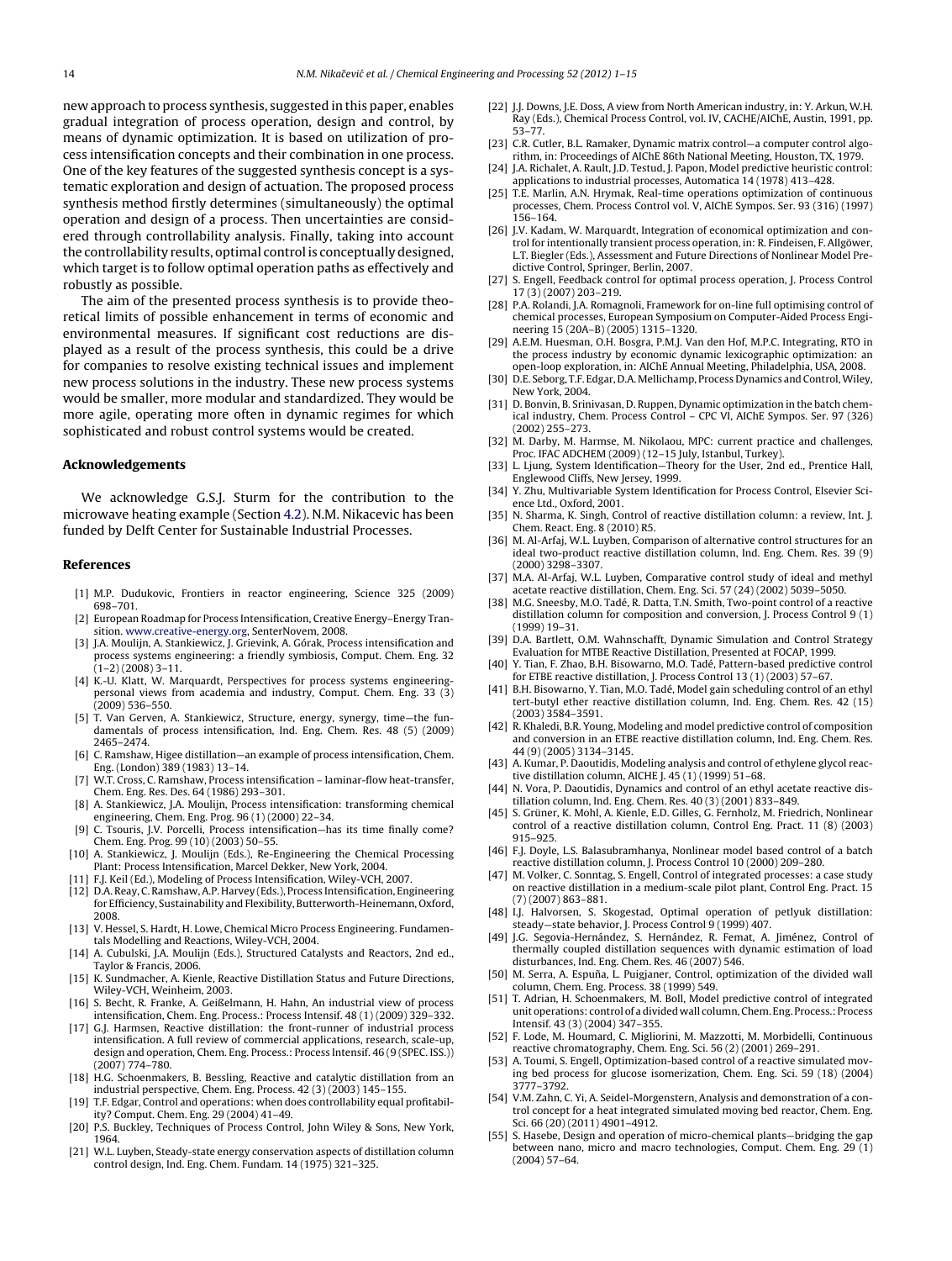<span id="page-13-0"></span>new approach to process synthesis, suggested in this paper, enables gradual integration of process operation, design and control, by means of dynamic optimization. It is based on utilization of process intensification concepts and their combination in one process. One of the key features of the suggested synthesis concept is a systematic exploration and design of actuation. The proposed process synthesis method firstly determines (simultaneously) the optimal operation and design of a process. Then uncertainties are considered through controllability analysis. Finally, taking into account the controllability results, optimal control is conceptually designed, which target is to follow optimal operation paths as effectively and robustly as possible.

The aim of the presented process synthesis is to provide theoretical limits of possible enhancement in terms of economic and environmental measures. If significant cost reductions are displayed as a result of the process synthesis, this could be a drive for companies to resolve existing technical issues and implement new process solutions in the industry. These new process systems would be smaller, more modular and standardized. They would be more agile, operating more often in dynamic regimes for which sophisticated and robust control systems would be created.

#### **Acknowledgements**

We acknowledge G.S.J. Sturm for the contribution to the microwave heating example (Section [4.2\).](#page-6-0) N.M. Nikacevic has been funded by Delft Center for Sustainable Industrial Processes.

#### **References**

- [1] M.P. Dudukovic, Frontiers in reactor engineering, Science 325 (2009) 698–701.
- [2] European Roadmap for Process Intensification, Creative Energy–Energy Transition. [www.creative-energy.org](http://www.creative-energy.org/), SenterNovem, 2008.
- [3] J.A. Moulijn, A. Stankiewicz, J. Grievink, A. Górak, Process intensification and process systems engineering: a friendly symbiosis, Comput. Chem. Eng. 32  $(1-2)$  (2008) 3-11.
- [4] K.-U. Klatt, W. Marquardt, Perspectives for process systems engineeringpersonal views from academia and industry, Comput. Chem. Eng. 33 (3) (2009) 536–550.
- [5] T. Van Gerven, A. Stankiewicz, Structure, energy, synergy, time—the fundamentals of process intensification, Ind. Eng. Chem. Res. 48 (5) (2009) 2465–2474.
- [6] C. Ramshaw, Higee distillation—an example of process intensification, Chem. Eng. (London) 389 (1983) 13–14.
- [7] W.T. Cross, C. Ramshaw, Process intensification laminar-flow heat-transfer, Chem. Eng. Res. Des. 64 (1986) 293–301.
- [8] A. Stankiewicz, J.A. Moulijn, Process intensification: transforming chemical engineering, Chem. Eng. Prog. 96 (1) (2000) 22–34.
- [9] C. Tsouris, J.V. Porcelli, Process intensification—has its time finally come? Chem. Eng. Prog. 99 (10) (2003) 50–55.
- [10] A. Stankiewicz, J. Moulijn (Eds.), Re-Engineering the Chemical Processing Plant: Process Intensification, Marcel Dekker, New York, 2004.
- [11] F.J. Keil (Ed.), Modeling of Process Intensification, Wiley-VCH, 2007.
- [12] D.A. Reay, C. Ramshaw,A.P. Harvey (Eds.), Process Intensification, Engineering for Efficiency, Sustainability and Flexibility, Butterworth-Heinemann, Oxford, 2008.
- [13] V. Hessel, S. Hardt, H. Lowe, Chemical Micro Process Engineering. Fundamentals Modelling and Reactions, Wiley-VCH, 2004.
- [14] A. Cubulski, J.A. Moulijn (Eds.), Structured Catalysts and Reactors, 2nd ed., Taylor & Francis, 2006.
- [15] K. Sundmacher, A. Kienle, Reactive Distillation Status and Future Directions, Wiley-VCH, Weinheim, 2003.
- [16] S. Becht, R. Franke, A. Geißelmann, H. Hahn, An industrial view of process intensification, Chem. Eng. Process.: Process Intensif. 48 (1) (2009) 329–332.
- [17] G.J. Harmsen, Reactive distillation: the front-runner of industrial process intensification. A full review of commercial applications, research, scale-up, design and operation, Chem. Eng. Process.: Process Intensif. 46 (9 (SPEC. ISS.)) (2007) 774–780.
- [18] H.G. Schoenmakers, B. Bessling, Reactive and catalytic distillation from an industrial perspective, Chem. Eng. Process. 42 (3) (2003) 145–155.
- [19] T.F. Edgar, Control and operations: when does controllability equal profitability? Comput. Chem. Eng. 29 (2004) 41–49.
- [20] P.S. Buckley, Techniques of Process Control, John Wiley & Sons, New York, 1964.
- [21] W.L. Luyben, Steady-state energy conservation aspects of distillation column control design, Ind. Eng. Chem. Fundam. 14 (1975) 321–325.
- [22] J.J. Downs, J.E. Doss, A view from North American industry, in: Y. Arkun, W.H. Ray (Eds.), Chemical Process Control, vol. IV, CACHE/AIChE, Austin, 1991, pp. 53–77.
- [23] C.R. Cutler, B.L. Ramaker, Dynamic matrix control—a computer control algorithm, in: Proceedings of AIChE 86th National Meeting, Houston, TX, 1979.
- [24] J.A. Richalet, A. Rault, J.D. Testud, J. Papon, Model predictive heuristic control: applications to industrial processes, Automatica 14 (1978) 413–428.
- [25] T.E. Marlin, A.N. Hrymak, Real-time operations optimization of continuous processes, Chem. Process Control vol. V, AIChE Sympos. Ser. 93 (316) (1997) 156–164.
- [26] J.V. Kadam, W. Marquardt, Integration of economical optimization and control for intentionally transient process operation, in: R. Findeisen, F. Allgöwer, L.T. Biegler (Eds.), Assessment and Future Directions of Nonlinear Model Predictive Control, Springer, Berlin, 2007.
- [27] S. Engell, Feedback control for optimal process operation, J. Process Control 17 (3) (2007) 203–219.
- [28] P.A. Rolandi, J.A. Romagnoli, Framework for on-line full optimising control of chemical processes, European Symposium on Computer-Aided Process Engineering 15 (20A–B) (2005) 1315–1320.
- [29] A.E.M. Huesman, O.H. Bosgra, P.M.J. Van den Hof, M.P.C. Integrating, RTO in the process industry by economic dynamic lexicographic optimization: an open-loop exploration, in: AIChE Annual Meeting, Philadelphia, USA, 2008.
- [30] D.E. Seborg, T.F. Edgar, D.A.Mellichamp, Process Dynamics and Control,Wiley, New York, 2004.
- [31] D. Bonvin, B. Srinivasan, D. Ruppen, Dynamic optimization in the batch chemical industry, Chem. Process Control – CPC VI, AIChE Sympos. Ser. 97 (326) (2002) 255–273.
- [32] M. Darby, M. Harmse, M. Nikolaou, MPC: current practice and challenges, Proc. IFAC ADCHEM (2009) (12–15 July, Istanbul, Turkey).
- [33] L. Ljung, System Identification-Theory for the User, 2nd ed., Prentice Hall, Englewood Cliffs, New Jersey, 1999.
- [34] Y. Zhu, Multivariable System Identification for Process Control, Elsevier Science Ltd., Oxford, 2001.
- [35] N. Sharma, K. Singh, Control of reactive distillation column: a review, Int. J. Chem. React. Eng. 8 (2010) R5.
- [36] M. Al-Arfaj, W.L. Luyben, Comparison of alternative control structures for an ideal two-product reactive distillation column, Ind. Eng. Chem. Res. 39 (9) (2000) 3298–3307.
- [37] M.A. Al-Arfaj, W.L. Luyben, Comparative control study of ideal and methyl acetate reactive distillation, Chem. Eng. Sci. 57 (24) (2002) 5039–5050.
- [38] M.G. Sneesby, M.O. Tadé, R. Datta, T.N. Smith, Two-point control of a reactive distillation column for composition and conversion, J. Process Control 9 (1) (1999) 19–31.
- [39] D.A. Bartlett, O.M. Wahnschafft, Dynamic Simulation and Control Strategy Evaluation for MTBE Reactive Distillation, Presented at FOCAP, 1999.
- [40] Y. Tian, F. Zhao, B.H. Bisowarno, M.O. Tadé, Pattern-based predictive control for ETBE reactive distillation, J. Process Control 13 (1) (2003) 57–67.
- [41] B.H. Bisowarno, Y. Tian, M.O. Tadé, Model gain scheduling control of an ethyl tert-butyl ether reactive distillation column, Ind. Eng. Chem. Res. 42 (15) (2003) 3584–3591.
- [42] R. Khaledi, B.R. Young, Modeling and model predictive control of composition and conversion in an ETBE reactive distillation column, Ind. Eng. Chem. Res. 44 (9) (2005) 3134–3145.
- [43] A. Kumar, P. Daoutidis, Modeling analysis and control of ethylene glycol reactive distillation column, AICHE J. 45 (1) (1999) 51–68.
- [44] N. Vora, P. Daoutidis, Dynamics and control of an ethyl acetate reactive distillation column, Ind. Eng. Chem. Res. 40 (3) (2001) 833–849.
- [45] S. Grüner, K. Mohl, A. Kienle, E.D. Gilles, G. Fernholz, M. Friedrich, Nonlinear control of a reactive distillation column, Control Eng. Pract. 11 (8) (2003) 915–925.
- [46] F.J. Doyle, L.S. Balasubramhanya, Nonlinear model based control of a batch reactive distillation column, J. Process Control 10 (2000) 209–280.
- [47] M. Volker, C. Sonntag, S. Engell, Control of integrated processes: a case study on reactive distillation in a medium-scale pilot plant, Control Eng. Pract. 15 (7) (2007) 863–881.
- [48] I.J. Halvorsen, S. Skogestad, Optimal operation of petlyuk distillation: steady—state behavior, J. Process Control 9 (1999) 407.
- [49] J.G. Segovia-Hernández, S. Hernández, R. Femat, A. Jiménez, Control of thermally coupled distillation sequences with dynamic estimation of load disturbances, Ind. Eng. Chem. Res. 46 (2007) 546.
- [50] M. Serra, A. Espuña, L. Puigjaner, Control, optimization of the divided wall column, Chem. Eng. Process. 38 (1999) 549.
- [51] T. Adrian, H. Schoenmakers, M. Boll, Model predictive control of integrated unit operations: control of adivided wall column,Chem. Eng. Process.: Process Intensif. 43 (3) (2004) 347–355.
- [52] F. Lode, M. Houmard, C. Migliorini, M. Mazzotti, M. Morbidelli, Continuous reactive chromatography, Chem. Eng. Sci. 56 (2) (2001) 269–291.
- [53] A. Toumi, S. Engell, Optimization-based control of a reactive simulated moving bed process for glucose isomerization, Chem. Eng. Sci. 59 (18) (2004) 3777–3792.
- [54] V.M. Zahn, C. Yi, A. Seidel-Morgenstern, Analysis and demonstration of a control concept for a heat integrated simulated moving bed reactor, Chem. Eng. Sci. 66 (20) (2011) 4901–4912.
- [55] S. Hasebe, Design and operation of micro-chemical plants—bridging the gap between nano, micro and macro technologies, Comput. Chem. Eng. 29 (1) (2004) 57–64.